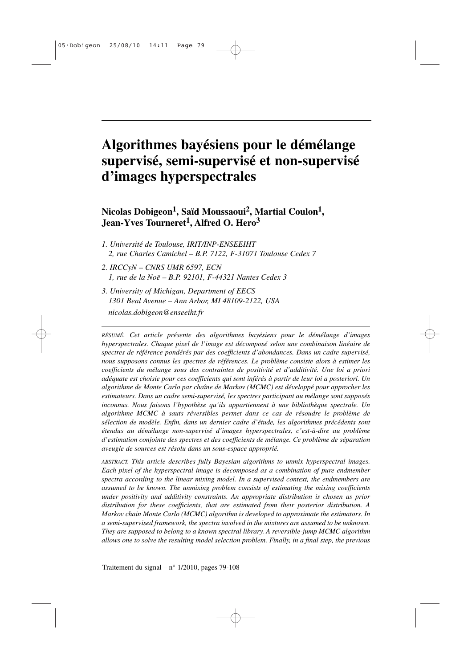# **Algorithmes bayésiens pour le démélange supervisé, semi-supervisé et non-supervisé d'images hyperspectrales**

**Nicolas Dobigeon<sup>1</sup> , Saïd Moussaoui<sup>2</sup> , Martial Coulon<sup>1</sup> , Jean-Yves Tourneret<sup>1</sup> , Alfred O. Hero 3**

- *1. Université de Toulouse, IRIT/INP-ENSEEIHT 2, rue Charles Camichel – B.P. 7122, F-31071 Toulouse Cedex 7*
- *2. IRCCyN CNRS UMR 6597, ECN 1, rue de la Noë – B.P. 92101, F-44321 Nantes Cedex 3*
- *3. University of Michigan, Department of EECS 1301 Beal Avenue – Ann Arbor, MI 48109-2122, USA nicolas.dobigeon@enseeiht.fr*

*RÉSUMÉ. Cet article présente des algorithmes bayésiens pour le démélange d'images hyperspectrales. Chaque pixel de l'image est décomposé selon une combinaison linéaire de spectres de référence pondérés par des coefficients d'abondances. Dans un cadre supervisé, nous supposons connus les spectres de références. Le problème consiste alors à estimer les coefficients du mélange sous des contraintes de positivité et d'additivité. Une loi a priori adéquate est choisie pour ces coefficients qui sont inférés à partir de leur loi a posteriori. Un algorithme de Monte Carlo par chaîne de Markov (MCMC) est développé pour approcher les estimateurs. Dans un cadre semi-supervisé, les spectres participant au mélange sont supposés inconnus. Nous faisons l'hypothèse qu'ils appartiennent à une bibliothèque spectrale. Un algorithme MCMC à sauts réversibles permet dans ce cas de résoudre le problème de sélection de modèle. Enfin, dans un dernier cadre d'étude, les algorithmes précédents sont étendus au démélange non-supervisé d'images hyperspectrales, c'est-à-dire au problème d'estimation conjointe des spectres et des coefficients de mélange. Ce problème de séparation aveugle de sources est résolu dans un sous-espace approprié.*

*ABSTRACT. This article describes fully Bayesian algorithms to unmix hyperspectral images. Each pixel of the hyperspectral image is decomposed as a combination of pure endmember spectra according to the linear mixing model. In a supervised context, the endmembers are assumed to be known. The unmixing problem consists of estimating the mixing coefficients under positivity and additivity constraints. An appropriate distribution is chosen as prior distribution for these coefficients, that are estimated from their posterior distribution. A Markov chain Monte Carlo (MCMC) algorithm is developed to approximate the estimators. In a semi-supervised framework, the spectra involved in the mixtures are assumed to be unknown. They are supposed to belong to a known spectral library. A reversible-jump MCMC algorithm allows one to solve the resulting model selection problem. Finally, in a final step, the previous*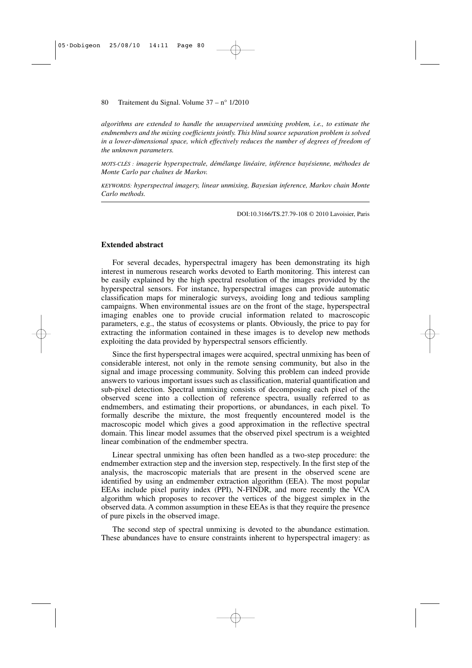*algorithms are extended to handle the unsupervised unmixing problem, i.e., to estimate the endmembers and the mixing coefficients jointly. This blind source separation problem is solved in a lower-dimensional space, which effectively reduces the number of degrees of freedom of the unknown parameters.*

*MOTS-CLÉS : imagerie hyperspectrale, démélange linéaire, inférence bayésienne, méthodes de Monte Carlo par chaînes de Markov.*

*KEYWORDS: hyperspectral imagery, linear unmixing, Bayesian inference, Markov chain Monte Carlo methods.*

DOI:10.3166/TS.27.79-108 © 2010 Lavoisier, Paris

## **Extended abstract**

For several decades, hyperspectral imagery has been demonstrating its high interest in numerous research works devoted to Earth monitoring. This interest can be easily explained by the high spectral resolution of the images provided by the hyperspectral sensors. For instance, hyperspectral images can provide automatic classification maps for mineralogic surveys, avoiding long and tedious sampling campaigns. When environmental issues are on the front of the stage, hyperspectral imaging enables one to provide crucial information related to macroscopic parameters, e.g., the status of ecosystems or plants. Obviously, the price to pay for extracting the information contained in these images is to develop new methods exploiting the data provided by hyperspectral sensors efficiently.

Since the first hyperspectral images were acquired, spectral unmixing has been of considerable interest, not only in the remote sensing community, but also in the signal and image processing community. Solving this problem can indeed provide answers to various important issues such as classification, material quantification and sub-pixel detection. Spectral unmixing consists of decomposing each pixel of the observed scene into a collection of reference spectra, usually referred to as endmembers, and estimating their proportions, or abundances, in each pixel. To formally describe the mixture, the most frequently encountered model is the macroscopic model which gives a good approximation in the reflective spectral domain. This linear model assumes that the observed pixel spectrum is a weighted linear combination of the endmember spectra.

Linear spectral unmixing has often been handled as a two-step procedure: the endmember extraction step and the inversion step, respectively. In the first step of the analysis, the macroscopic materials that are present in the observed scene are identified by using an endmember extraction algorithm (EEA). The most popular EEAs include pixel purity index (PPI), N-FINDR, and more recently the VCA algorithm which proposes to recover the vertices of the biggest simplex in the observed data. A common assumption in these EEAs is that they require the presence of pure pixels in the observed image.

The second step of spectral unmixing is devoted to the abundance estimation. These abundances have to ensure constraints inherent to hyperspectral imagery: as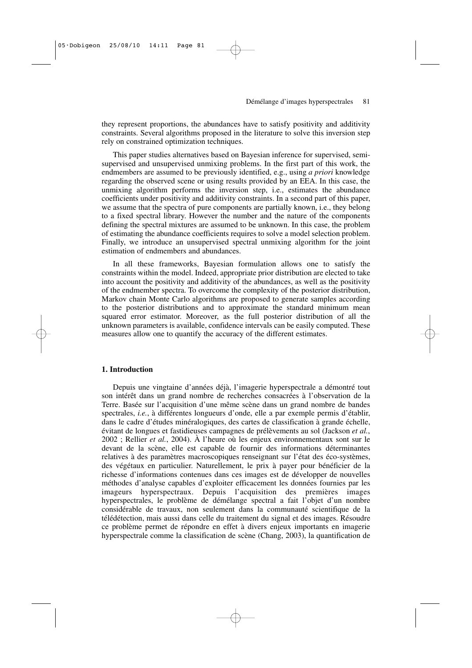they represent proportions, the abundances have to satisfy positivity and additivity constraints. Several algorithms proposed in the literature to solve this inversion step rely on constrained optimization techniques.

This paper studies alternatives based on Bayesian inference for supervised, semisupervised and unsupervised unmixing problems. In the first part of this work, the endmembers are assumed to be previously identified, e.g., using *a priori* knowledge regarding the observed scene or using results provided by an EEA. In this case, the unmixing algorithm performs the inversion step, i.e., estimates the abundance coefficients under positivity and additivity constraints. In a second part of this paper, we assume that the spectra of pure components are partially known, i.e., they belong to a fixed spectral library. However the number and the nature of the components defining the spectral mixtures are assumed to be unknown. In this case, the problem of estimating the abundance coefficients requires to solve a model selection problem. Finally, we introduce an unsupervised spectral unmixing algorithm for the joint estimation of endmembers and abundances.

In all these frameworks, Bayesian formulation allows one to satisfy the constraints within the model. Indeed, appropriate prior distribution are elected to take into account the positivity and additivity of the abundances, as well as the positivity of the endmember spectra. To overcome the complexity of the posterior distribution, Markov chain Monte Carlo algorithms are proposed to generate samples according to the posterior distributions and to approximate the standard minimum mean squared error estimator. Moreover, as the full posterior distribution of all the unknown parameters is available, confidence intervals can be easily computed. These measures allow one to quantify the accuracy of the different estimates.

# **1. Introduction**

Depuis une vingtaine d'années déjà, l'imagerie hyperspectrale a démontré tout son intérêt dans un grand nombre de recherches consacrées à l'observation de la Terre. Basée sur l'acquisition d'une même scène dans un grand nombre de bandes spectrales, *i.e.*, à différentes longueurs d'onde, elle a par exemple permis d'établir, dans le cadre d'études minéralogiques, des cartes de classification à grande échelle, évitant de longues et fastidieuses campagnes de prélèvements au sol (Jackson *et al.*, 2002 ; Rellier *et al.*, 2004). À l'heure où les enjeux environnementaux sont sur le devant de la scène, elle est capable de fournir des informations déterminantes relatives à des paramètres macroscopiques renseignant sur l'état des éco-systèmes, des végétaux en particulier. Naturellement, le prix à payer pour bénéficier de la richesse d'informations contenues dans ces images est de développer de nouvelles méthodes d'analyse capables d'exploiter efficacement les données fournies par les imageurs hyperspectraux. Depuis l'acquisition des premières images hyperspectrales, le problème de démélange spectral a fait l'objet d'un nombre considérable de travaux, non seulement dans la communauté scientifique de la télédétection, mais aussi dans celle du traitement du signal et des images. Résoudre ce problème permet de répondre en effet à divers enjeux importants en imagerie hyperspectrale comme la classification de scène (Chang, 2003), la quantification de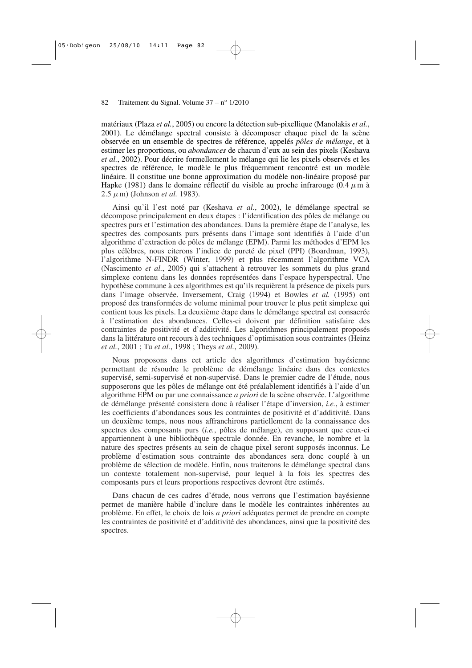matériaux (Plaza *et al.*, 2005) ou encore la détection sub-pixellique (Manolakis *et al.*, 2001). Le démélange spectral consiste à décomposer chaque pixel de la scène observée en un ensemble de spectres de référence, appelés *pôles de mélange*, et à estimer les proportions, ou *abondances* de chacun d'eux au sein des pixels (Keshava *et al.*, 2002). Pour décrire formellement le mélange qui lie les pixels observés et les spectres de référence, le modèle le plus fréquemment rencontré est un modèle linéaire. Il constitue une bonne approximation du modèle non-linéaire proposé par Hapke (1981) dans le domaine réflectif du visible au proche infrarouge (0.4  $\mu$ m à  $2.5 \mu$ m) (Johnson *et al.* 1983).

Ainsi qu'il l'est noté par (Keshava *et al.*, 2002), le démélange spectral se décompose principalement en deux étapes : l'identification des pôles de mélange ou spectres purs et l'estimation des abondances. Dans la première étape de l'analyse, les spectres des composants purs présents dans l'image sont identifiés à l'aide d'un algorithme d'extraction de pôles de mélange (EPM). Parmi les méthodes d'EPM les plus célèbres, nous citerons l'indice de pureté de pixel (PPI) (Boardman, 1993), l'algorithme N-FINDR (Winter, 1999) et plus récemment l'algorithme VCA (Nascimento *et al.*, 2005) qui s'attachent à retrouver les sommets du plus grand simplexe contenu dans les données représentées dans l'espace hyperspectral. Une hypothèse commune à ces algorithmes est qu'ils requièrent la présence de pixels purs dans l'image observée. Inversement, Craig (1994) et Bowles *et al.* (1995) ont proposé des transformées de volume minimal pour trouver le plus petit simplexe qui contient tous les pixels. La deuxième étape dans le démélange spectral est consacrée à l'estimation des abondances. Celles-ci doivent par définition satisfaire des contraintes de positivité et d'additivité. Les algorithmes principalement proposés dans la littérature ont recours à des techniques d'optimisation sous contraintes (Heinz *et al.*, 2001 ; Tu *et al.*, 1998 ; Theys *et al.*, 2009).

Nous proposons dans cet article des algorithmes d'estimation bayésienne permettant de résoudre le problème de démélange linéaire dans des contextes supervisé, semi-supervisé et non-supervisé. Dans le premier cadre de l'étude, nous supposerons que les pôles de mélange ont été préalablement identifiés à l'aide d'un algorithme EPM ou par une connaissance *a priori* de la scène observée. L'algorithme de démélange présenté consistera donc à réaliser l'étape d'inversion, *i.e.*, à estimer les coefficients d'abondances sous les contraintes de positivité et d'additivité. Dans un deuxième temps, nous nous affranchirons partiellement de la connaissance des spectres des composants purs (*i.e.*, pôles de mélange), en supposant que ceux-ci appartiennent à une bibliothèque spectrale donnée. En revanche, le nombre et la nature des spectres présents au sein de chaque pixel seront supposés inconnus. Le problème d'estimation sous contrainte des abondances sera donc couplé à un problème de sélection de modèle. Enfin, nous traiterons le démélange spectral dans un contexte totalement non-supervisé, pour lequel à la fois les spectres des composants purs et leurs proportions respectives devront être estimés.

Dans chacun de ces cadres d'étude, nous verrons que l'estimation bayésienne permet de manière habile d'inclure dans le modèle les contraintes inhérentes au problème. En effet, le choix de lois *a priori* adéquates permet de prendre en compte les contraintes de positivité et d'additivité des abondances, ainsi que la positivité des spectres.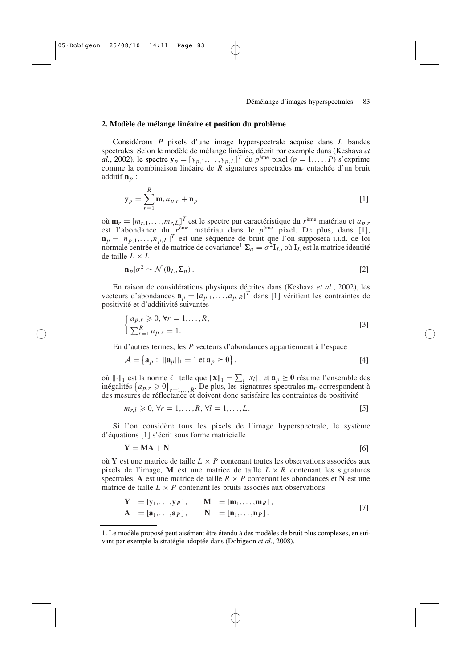# **2. Modèle de mélange linéaire et position du problème**

Considérons *P* pixels d'une image hyperspectrale acquise dans *L* bandes spectrales. Selon le modèle de mélange linéaire, décrit par exemple dans (Keshava *et al.*, 2002), le spectre  $\mathbf{y}_p = [y_{p,1}, \dots, y_{p,L}]^T$  du  $p^{\text{eme}}$  pixel  $(p = 1, \dots, P)$  s'exprime comme la combinaison linéaire de *R* signatures spectrales **m***r* entachée d'un bruit additif **n***p* :

$$
\mathbf{y}_p = \sum_{r=1}^R \mathbf{m}_r a_{p,r} + \mathbf{n}_p,\tag{1}
$$

où  $\mathbf{m}_r = [m_{r,1}, \dots, m_{r,L}]^T$  est le spectre pur caractéristique du  $r^{\text{eme}}$  matériau et  $a_{p,r}$ est l'abondance du *r* ème matériau dans le *p* ème pixel. De plus, dans [1],  $\mathbf{n}_p = [n_{p,1}, \dots, n_{p,L}]^T$  est une séquence de bruit que l'on supposera i.i.d. de loi normale centrée et de matrice de covariance<sup>1</sup>  $\Sigma_n = \sigma^2 \mathbf{I}_L$ , où  $\mathbf{I}_L$  est la matrice identité de taille  $L \times L$ 

$$
\mathbf{n}_p|\sigma^2 \sim \mathcal{N}(\mathbf{0}_L, \Sigma_n). \tag{2}
$$

En raison de considérations physiques décrites dans (Keshava *et al.*, 2002), les vecteurs d'abondances  $\mathbf{a}_p = [a_{p,1},...,a_{p,R}]^T$  dans [1] vérifient les contraintes de positivité et d'additivité suivantes

$$
\begin{cases} a_{p,r} \geqslant 0, \forall r = 1,\dots,R, \\ \sum_{r=1}^{R} a_{p,r} = 1. \end{cases}
$$
 [3]

En d'autres termes, les *P* vecteurs d'abondances appartiennent à l'espace

$$
\mathcal{A} = \left\{ \mathbf{a}_p : \ ||\mathbf{a}_p||_1 = 1 \text{ et } \mathbf{a}_p \succeq \mathbf{0} \right\},\tag{4}
$$

où  $\|\cdot\|_1$  est la norme  $\ell_1$  telle que  $\|\mathbf{x}\|_1 = \sum_i |x_i|$ , et  $\mathbf{a}_p \geq \mathbf{0}$  résume l'ensemble des inégalités  $\{a_{p,r} \geq 0\}_{r=1,\dots,R}$ . De plus, les signatures spectrales **m***r* correspondent à des mesures de réflectance et doivent donc satisfaire les contraintes de positivité

$$
m_{r,l} \geq 0, \forall r = 1,..., R, \forall l = 1,...,L.
$$
 [5]

Si l'on considère tous les pixels de l'image hyperspectrale, le système d'équations [1] s'écrit sous forme matricielle

$$
Y = MA + N \tag{6}
$$

où **Y** est une matrice de taille  $L \times P$  contenant toutes les observations associées aux pixels de l'image, M est une matrice de taille  $L \times R$  contenant les signatures spectrales, **A** est une matrice de taille  $R \times P$  contenant les abondances et **N** est une matrice de taille  $L \times P$  contenant les bruits associés aux observations

$$
Y = [y_1, ..., y_P], \t M = [m_1, ..., m_R],A = [a_1, ..., a_P], \t N = [n_1, ..., n_P].
$$
\n[7]

<sup>1.</sup> Le modèle proposé peut aisément être étendu à des modèles de bruit plus complexes, en suivant par exemple la stratégie adoptée dans (Dobigeon *et al.*, 2008).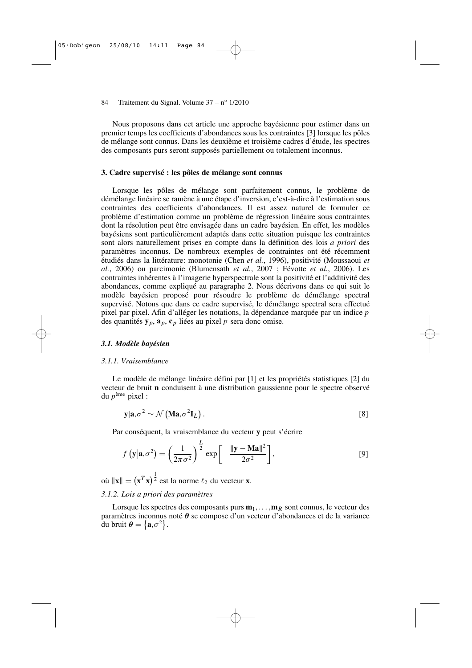Nous proposons dans cet article une approche bayésienne pour estimer dans un premier temps les coefficients d'abondances sous les contraintes [3] lorsque les pôles de mélange sont connus. Dans les deuxième et troisième cadres d'étude, les spectres des composants purs seront supposés partiellement ou totalement inconnus.

# **3. Cadre supervisé : les pôles de mélange sont connus**

Lorsque les pôles de mélange sont parfaitement connus, le problème de démélange linéaire se ramène à une étape d'inversion, c'est-à-dire à l'estimation sous contraintes des coefficients d'abondances. Il est assez naturel de formuler ce problème d'estimation comme un problème de régression linéaire sous contraintes dont la résolution peut être envisagée dans un cadre bayésien. En effet, les modèles bayésiens sont particulièrement adaptés dans cette situation puisque les contraintes sont alors naturellement prises en compte dans la définition des lois *a priori* des paramètres inconnus. De nombreux exemples de contraintes ont été récemment étudiés dans la littérature: monotonie (Chen *et al.*, 1996), positivité (Moussaoui *et al.*, 2006) ou parcimonie (Blumensath *et al.*, 2007 ; Févotte *et al.*, 2006). Les contraintes inhérentes à l'imagerie hyperspectrale sont la positivité et l'additivité des abondances, comme expliqué au paragraphe 2. Nous décrivons dans ce qui suit le modèle bayésien proposé pour résoudre le problème de démélange spectral supervisé. Notons que dans ce cadre supervisé, le démélange spectral sera effectué pixel par pixel. Afin d'alléger les notations, la dépendance marquée par un indice *p* des quantités  $y_p$ ,  $a_p$ ,  $c_p$  liées au pixel *p* sera donc omise.

# *3.1. Modèle bayésien*

### *3.1.1. Vraisemblance*

Le modèle de mélange linéaire défini par [1] et les propriétés statistiques [2] du vecteur de bruit **n** conduisent à une distribution gaussienne pour le spectre observé du *p* ème pixel :

$$
\mathbf{y}|\mathbf{a}, \sigma^2 \sim \mathcal{N}\left(\mathbf{M}\mathbf{a}, \sigma^2 \mathbf{I}_L\right). \tag{8}
$$

Par conséquent, la vraisemblance du vecteur **y** peut s'écrire

$$
f\left(\mathbf{y}|\mathbf{a},\sigma^2\right) = \left(\frac{1}{2\pi\sigma^2}\right)^{\frac{L}{2}} \exp\left[-\frac{\|\mathbf{y}-\mathbf{M}\mathbf{a}\|^2}{2\sigma^2}\right],\tag{9}
$$

où  $\|\mathbf{x}\| = (\mathbf{x}^T \mathbf{x})^{\frac{1}{2}}$  est la norme  $\ell_2$  du vecteur **x**. *3.1.2. Lois a priori des paramètres*

Lorsque les spectres des composants purs  $\mathbf{m}_1, \ldots, \mathbf{m}_R$  sont connus, le vecteur des paramètres inconnus noté θ se compose d'un vecteur d'abondances et de la variance du bruit  $\boldsymbol{\theta} = {\mathbf{a}, \sigma^2}.$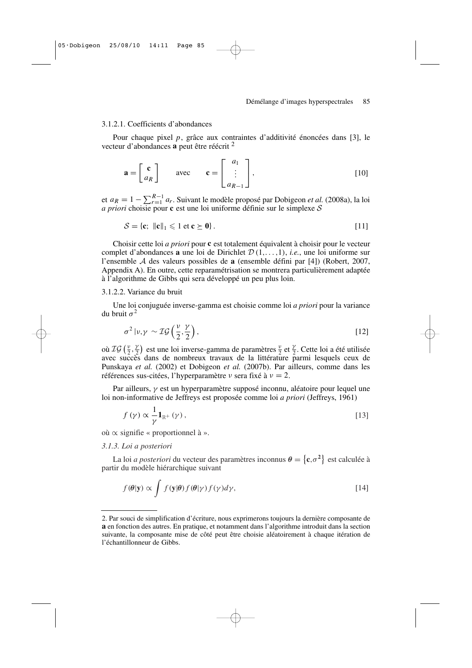#### 3.1.2.1. Coefficients d'abondances

Pour chaque pixel *p*, grâce aux contraintes d'additivité énoncées dans [3], le vecteur d'abondances **a** peut être réécrit <sup>2</sup>

$$
\mathbf{a} = \begin{bmatrix} \mathbf{c} \\ a_R \end{bmatrix} \qquad \text{avec} \qquad \mathbf{c} = \begin{bmatrix} a_1 \\ \vdots \\ a_{R-1} \end{bmatrix}, \tag{10}
$$

et  $a_R = 1 - \sum_{r=1}^{R-1} a_r$ . Suivant le modèle proposé par Dobigeon *et al.* (2008a), la loi *a priori* choisie pour **c** est une loi uniforme définie sur le simplexe S

$$
\mathcal{S} = \{ \mathbf{c}; \ \|\mathbf{c}\|_1 \leqslant 1 \text{ et } \mathbf{c} \geq \mathbf{0} \}. \tag{11}
$$

Choisir cette loi *a priori* pour **c** est totalement équivalent à choisir pour le vecteur complet d'abondances **a** une loi de Dirichlet D (1,. ..,1), *i.e.*, une loi uniforme sur l'ensemble A des valeurs possibles de **a** (ensemble défini par [4]) (Robert, 2007, Appendix A). En outre, cette reparamétrisation se montrera particulièrement adaptée à l'algorithme de Gibbs qui sera développé un peu plus loin.

#### 3.1.2.2. Variance du bruit

Une loi conjuguée inverse-gamma est choisie comme loi *a priori* pour la variance du bruit  $\sigma^2$ 

$$
\sigma^2 \left| \nu, \gamma \right| \sim \mathcal{IG}\left(\frac{\nu}{2}, \frac{\gamma}{2}\right),\tag{12}
$$

où  $\mathcal{IG}\left(\frac{\nu}{2},\frac{\gamma}{2}\right)$  $\frac{\gamma}{2}$ ) est une loi inverse-gamma de paramètres  $\frac{\nu}{2}$  et  $\frac{\gamma}{2}$ . Cette loi a été utilisée avec succès dans de nombreux travaux de la littérature parmi lesquels ceux de Punskaya *et al.* (2002) et Dobigeon *et al.* (2007b). Par ailleurs, comme dans les références sus-citées, l'hyperparamètre  $\nu$  sera fixé à  $\nu = 2$ .

Par ailleurs,  $\gamma$  est un hyperparamètre supposé inconnu, aléatoire pour lequel une loi non-informative de Jeffreys est proposée comme loi *a priori* (Jeffreys, 1961)

$$
f(\gamma) \propto \frac{1}{\gamma} \mathbf{1}_{\mathbb{R}^+}(\gamma),\tag{13}
$$

où ∝ signifie « proportionnel à ».

#### *3.1.3. Loi a posteriori*

La loi *a posteriori* du vecteur des paramètres inconnus  $\theta = \{c, \sigma^2\}$  est calculée à partir du modèle hiérarchique suivant

$$
f(\theta|\mathbf{y}) \propto \int f(\mathbf{y}|\theta) f(\theta|\gamma) f(\gamma) d\gamma,
$$
 [14]

<sup>2.</sup> Par souci de simplification d'écriture, nous exprimerons toujours la dernière composante de **a** en fonction des autres. En pratique, et notamment dans l'algorithme introduit dans la section suivante, la composante mise de côté peut être choisie aléatoirement à chaque itération de l'échantillonneur de Gibbs.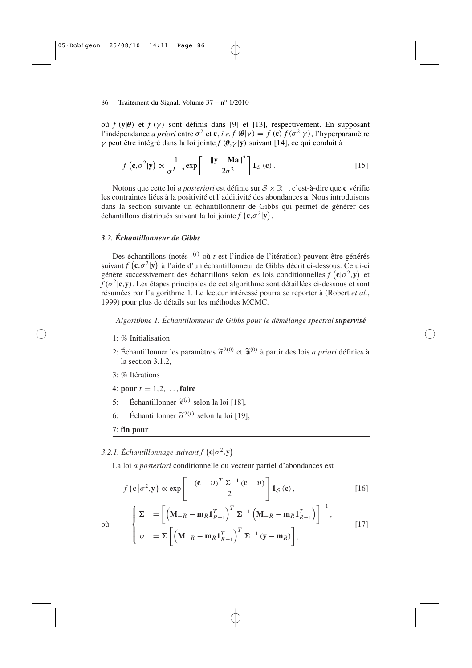où *f* (**y**|θ) et *f* (γ ) sont définis dans [9] et [13], respectivement. En supposant l'indépendance *a priori* entre σ 2 et **c**, *i.e. f* (θ|γ ) = *f* (**c**) *f* (σ<sup>2</sup> |γ), l'hyperparamètre γ peut être intégré dans la loi jointe *f* (θ,γ |**y**) suivant [14], ce qui conduit à

$$
f\left(\mathbf{c},\sigma^2|\mathbf{y}\right) \propto \frac{1}{\sigma^{L+2}} \exp\left[-\frac{\|\mathbf{y}-\mathbf{M}\mathbf{a}\|^2}{2\sigma^2}\right] \mathbf{1}_{\mathcal{S}}\left(\mathbf{c}\right). \tag{15}
$$

Notons que cette loi *a posteriori* est définie sur S × R <sup>+</sup>, c'est-à-dire que **c** vérifie les contraintes liées à la positivité et l'additivité des abondances **a**. Nous introduisons dans la section suivante un échantillonneur de Gibbs qui permet de générer des  $\acute{\textbf{e}}$  chantillons distribués suivant la loi jointe  $f(\mathbf{c}, \sigma^2 | \mathbf{y})$ .

# *3.2. Échantillonneur de Gibbs*

Des échantillons (notés ·<sup>(t)</sup> où t est l'indice de l'itération) peuvent être générés suivant  $f$   $(c, \sigma^2 | y)$  à l'aide d'un échantillonneur de Gibbs décrit ci-dessous. Celui-ci génère successivement des échantillons selon les lois conditionnelles  $f(c|\sigma^2, y)$  et *f* (σ<sup>2</sup> |**c**,**y**). Les étapes principales de cet algorithme sont détaillées ci-dessous et sont résumées par l'algorithme 1. Le lecteur intéressé pourra se reporter à (Robert *et al.*, 1999) pour plus de détails sur les méthodes MCMC.

*Algorithme 1. Échantillonneur de Gibbs pour le démélange spectral supervisé*

- 1: % Initialisation
- 2: Échantillonner les paramètres  $\tilde{\sigma}^{2(0)}$  et  $\tilde{\mathbf{a}}^{(0)}$  à partir des lois *a priori* définies à la section 3.1.2,
- 3: % Itérations
- 4: **pour**  $t = 1, 2, \ldots$ , **faire**
- 5: Échantillonner  $\tilde{\mathbf{c}}^{(t)}$  selon la loi [18],
- 6: Échantillonner  $\tilde{\sigma}^{2(t)}$  selon la loi [19],

 $v = \Sigma \left[ \left( \mathbf{M}_{-R} - \mathbf{m}_R \mathbf{1}_{R-1}^T \right) \right]$ 

7: **fin pour**

 $\mathbf{I}$ 

 $\mathsf{I}$ 

3.2.1. Échantillonnage suivant  $f(\mathbf{c}|\sigma^2, \mathbf{y})$ 

La loi *a posteriori* conditionnelle du vecteur partiel d'abondances est

$$
f\left(\mathbf{c}\left|\sigma^{2},\mathbf{y}\right.\right) \propto \exp\left[-\frac{\left(\mathbf{c}-\mathbf{v}\right)^{T}\Sigma^{-1}\left(\mathbf{c}-\mathbf{v}\right)}{2}\right]\mathbf{1}_{S}\left(\mathbf{c}\right),\qquad [16]
$$
\n
$$
\left[\sum \sigma_{1} = \left[\left(\mathbf{M}_{-R} - \mathbf{m}_{R}\mathbf{1}_{R-1}^{T}\right)^{T}\Sigma^{-1}\left(\mathbf{M}_{-R} - \mathbf{m}_{R}\mathbf{1}_{R-1}^{T}\right)\right]^{-1},\right]
$$

 $\int_0^T \Sigma^{-1} (y - m_R)$ 

Ī , ,

[17]

où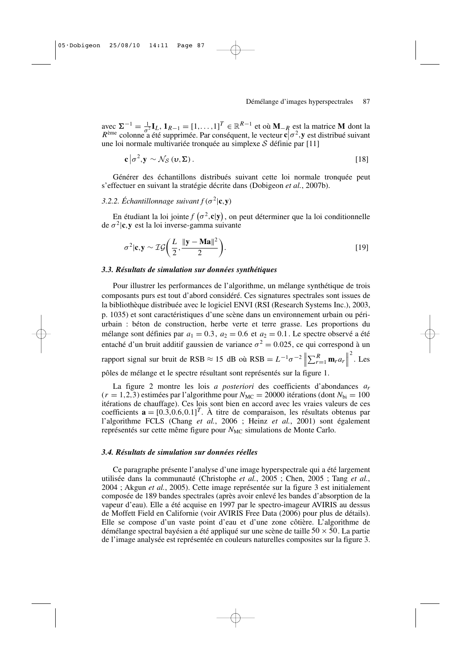$\mathbf{C} = \sum_{i=1}^{n} \mathbf{I}_{i} \mathbf{I}_{i} + \mathbf{I}_{i} \mathbf{I}_{i} = [\mathbf{I}_{1}, \dots, \mathbf{I}_{n}]^{T} \in \mathbb{R}^{R-1}$  et où  $\mathbf{M}_{-R}$  est la matrice **M** dont la prèse set la matrice **M** dont la  $R^{\text{eme}}$  colonne a été supprimée. Par conséquent, le vecteur **c** $\sigma^2$ , y est distribué suivant une loi normale multivariée tronquée au simplexe  $S$  définie par [11]

$$
\mathbf{c} \left| \sigma^2, \mathbf{y} \sim \mathcal{N}_{\mathcal{S}} \left( \mathbf{v}, \boldsymbol{\Sigma} \right) \right| \tag{18}
$$

Générer des échantillons distribués suivant cette loi normale tronquée peut s'effectuer en suivant la stratégie décrite dans (Dobigeon *et al.*, 2007b).

# 3.2.2. *Échantillonnage suivant*  $f(\sigma^2 | \mathbf{c}, \mathbf{y})$

En étudiant la loi jointe  $f(\sigma^2, c | y)$ , on peut déterminer que la loi conditionnelle de  $\sigma^2$ |**c**, **y** est la loi inverse-gamma suivante

$$
\sigma^2 |\mathbf{c}, \mathbf{y} \sim \mathcal{IG}\left(\frac{L}{2}, \frac{\|\mathbf{y} - \mathbf{M}\mathbf{a}\|^2}{2}\right). \tag{19}
$$

#### *3.3. Résultats de simulation sur données synthétiques*

Pour illustrer les performances de l'algorithme, un mélange synthétique de trois composants purs est tout d'abord considéré. Ces signatures spectrales sont issues de la bibliothèque distribuée avec le logiciel ENVI (RSI (Research Systems Inc.), 2003, p. 1035) et sont caractéristiques d'une scène dans un environnement urbain ou périurbain : béton de construction, herbe verte et terre grasse. Les proportions du mélange sont définies par  $a_1 = 0.3$ ,  $a_2 = 0.6$  et  $a_2 = 0.1$ . Le spectre observé a été entaché d'un bruit additif gaussien de variance  $\sigma^2 = 0.025$ , ce qui correspond à un rapport signal sur bruit de RSB  $\approx 15$  dB où RSB =  $L^{-1}\sigma^{-2}\left\|\sum_{r=1}^{R} \mathbf{m}_r a_r\right\|$  $\frac{2}{\cdot}$ . Les pôles de mélange et le spectre résultant sont représentés sur la figure 1.

La figure 2 montre les lois *a posteriori* des coefficients d'abondances *ar*  $(r = 1,2,3)$  estimées par l'algorithme pour  $N_{MC} = 20000$  itérations (dont  $N_{bi} = 100$ itérations de chauffage). Ces lois sont bien en accord avec les vraies valeurs de ces coefficients  $\mathbf{a} = [0.3, 0.6, 0.1]^T$ . À titre de comparaison, les résultats obtenus par l'algorithme FCLS (Chang *et al.*, 2006 ; Heinz *et al.*, 2001) sont également représentés sur cette même figure pour *N<sub>MC</sub>* simulations de Monte Carlo.

#### *3.4. Résultats de simulation sur données réelles*

Ce paragraphe présente l'analyse d'une image hyperspectrale qui a été largement utilisée dans la communauté (Christophe *et al.*, 2005 ; Chen, 2005 ; Tang *et al.*, 2004 ; Akgun *et al.*, 2005). Cette image représentée sur la figure 3 est initialement composée de 189 bandes spectrales (après avoir enlevé les bandes d'absorption de la vapeur d'eau). Elle a été acquise en 1997 par le spectro-imageur AVIRIS au dessus de Moffett Field en Californie (voir AVIRIS Free Data (2006) pour plus de détails). Elle se compose d'un vaste point d'eau et d'une zone côtière. L'algorithme de démélange spectral bayésien a été appliqué sur une scène de taille  $50 \times 50$ . La partie de l'image analysée est représentée en couleurs naturelles composites sur la figure 3.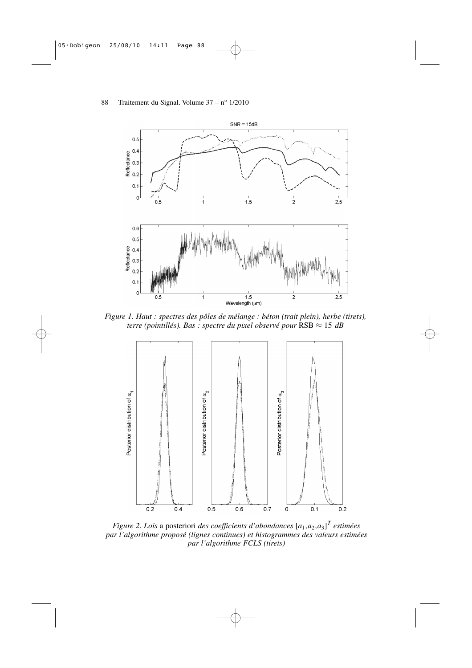

*Figure 1. Haut : spectres des pôles de mélange : béton (trait plein), herbe (tirets), terre (pointillés). Bas : spectre du pixel observé pour*  $\text{RSB} \approx 15 \text{ dB}$ 



*Figure 2. Lois a posteriori des coefficients d'abondances*  $[a_1, a_2, a_3]^T$  estimées *par l'algorithme proposé (lignes continues) et histogrammes des valeurs estimées par l'algorithme FCLS (tirets)*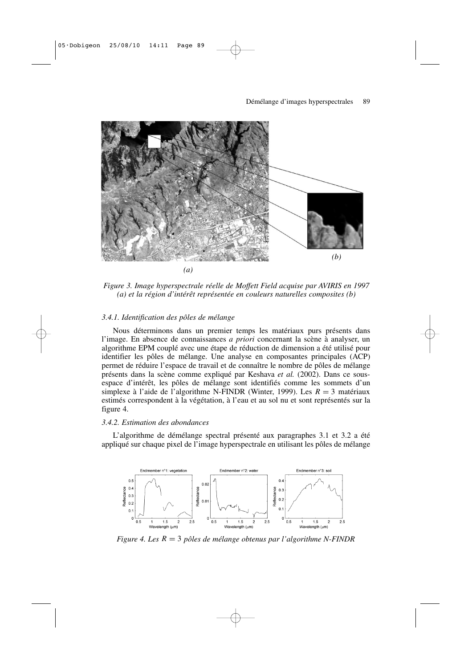

*Figure 3. Image hyperspectrale réelle de Moffett Field acquise par AVIRIS en 1997 (a) et la région d'intérêt représentée en couleurs naturelles composites (b)*

# *3.4.1. Identification des pôles de mélange*

Nous déterminons dans un premier temps les matériaux purs présents dans l'image. En absence de connaissances *a priori* concernant la scène à analyser, un algorithme EPM couplé avec une étape de réduction de dimension a été utilisé pour identifier les pôles de mélange. Une analyse en composantes principales (ACP) permet de réduire l'espace de travail et de connaître le nombre de pôles de mélange présents dans la scène comme expliqué par Keshava *et al.* (2002). Dans ce sousespace d'intérêt, les pôles de mélange sont identifiés comme les sommets d'un simplexe à l'aide de l'algorithme N-FINDR (Winter, 1999). Les *R* = 3 matériaux estimés correspondent à la végétation, à l'eau et au sol nu et sont représentés sur la figure 4.

# *3.4.2. Estimation des abondances*

L'algorithme de démélange spectral présenté aux paragraphes 3.1 et 3.2 a été appliqué sur chaque pixel de l'image hyperspectrale en utilisant les pôles de mélange



*Figure 4. Les R* = 3 *pôles de mélange obtenus par l'algorithme N-FINDR*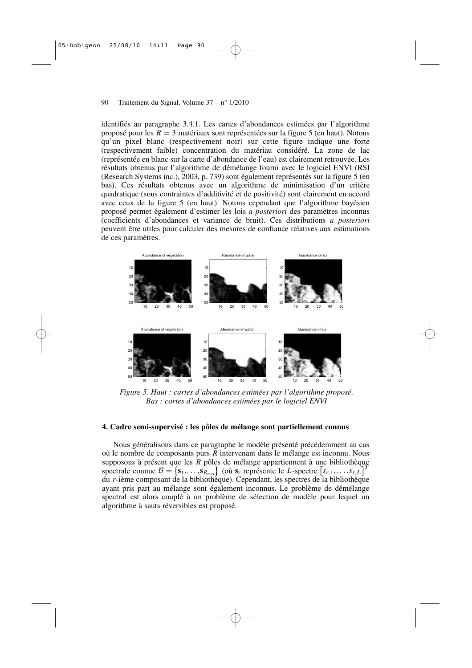identifiés au paragraphe 3.4.1. Les cartes d'abondances estimées par l'algorithme proposé pour les *R* = 3 matériaux sont représentées sur la figure 5 (en haut). Notons qu'un pixel blanc (respectivement noir) sur cette figure indique une forte (respectivement faible) concentration du matériau considéré. La zone de lac (représentée en blanc sur la carte d'abondance de l'eau) est clairement retrouvée. Les résultats obtenus par l'algorithme de démélange fourni avec le logiciel ENVI (RSI (Research Systems inc.), 2003, p. 739) sont également représentés sur la figure 5 (en bas). Ces résultats obtenus avec un algorithme de minimisation d'un critère quadratique (sous contraintes d'additivité et de positivité) sont clairement en accord avec ceux de la figure 5 (en haut). Notons cependant que l'algorithme bayésien proposé permet également d'estimer les lois *a posteriori* des paramètres inconnus (coefficients d'abondances et variance de bruit). Ces distributions *a posteriori* peuvent être utiles pour calculer des mesures de confiance relatives aux estimations de ces paramètres.



*Figure 5. Haut : cartes d'abondances estimées par l'algorithme proposé. Bas : cartes d'abondances estimées par le logiciel ENVI*

#### **4. Cadre semi-supervisé : les pôles de mélange sont partiellement connus**

Nous généralisons dans ce paragraphe le modèle présenté précédemment au cas où le nombre de composants purs *R* intervenant dans le mélange est inconnu. Nous supposons à présent que les *R* pôles de mélange appartiennent à une bibliothèque spectrale connue  $\mathcal{B} = \{s_1, \ldots, s_{R_{\text{max}}} \}$  (où  $s_r$  représente le *L*-spectre  $[s_{r,1}, \ldots, s_{r,L}]^T$ du *r*-ième composant de la bibliothèque). Cependant, les spectres de la bibliothèque ayant pris part au mélange sont également inconnus. Le problème de démélange spectral est alors couplé à un problème de sélection de modèle pour lequel un algorithme à sauts réversibles est proposé.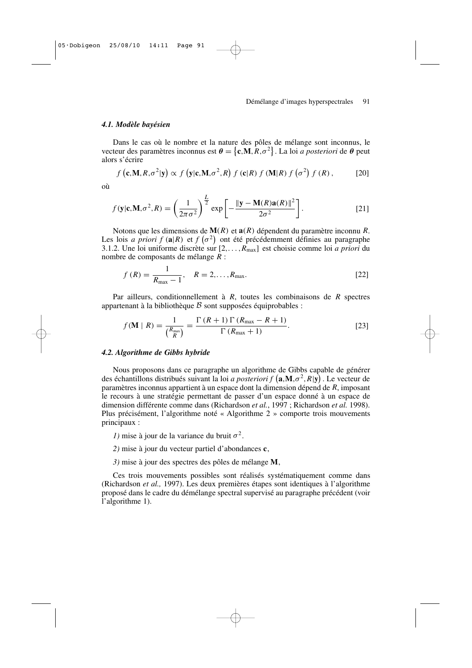## *4.1. Modèle bayésien*

Dans le cas où le nombre et la nature des pôles de mélange sont inconnus, le vecteur des paramètres inconnus est  $\theta = \{\mathbf{c}, \mathbf{M}, \mathbf{R}, \sigma^2\}$ . La loi *a posteriori* de  $\theta$  peut alors s'écrire

$$
f\left(\mathbf{c}, \mathbf{M}, R, \sigma^2 | \mathbf{y}\right) \propto f\left(\mathbf{y} | \mathbf{c}, \mathbf{M}, \sigma^2, R\right) f\left(\mathbf{c} | R\right) f\left(\mathbf{M} | R\right) f\left(\sigma^2\right) f\left(R\right),\tag{20}
$$

où

$$
f(\mathbf{y}|\mathbf{c}, \mathbf{M}, \sigma^2, R) = \left(\frac{1}{2\pi\sigma^2}\right)^{\frac{L}{2}} \exp\left[-\frac{\|\mathbf{y} - \mathbf{M}(R)\mathbf{a}(R)\|^2}{2\sigma^2}\right].
$$
 [21]

Notons que les dimensions de **M**(*R*) et **a**(*R*) dépendent du paramètre inconnu *R*. Les lois *a priori*  $f(\mathbf{a}|\mathbf{R})$  et  $f(\sigma^2)$  ont été précédemment définies au paragraphe 3.1.2. Une loi uniforme discrète sur [2,. ..,*R*max] est choisie comme loi *a priori* du nombre de composants de mélange *R* :

$$
f(R) = \frac{1}{R_{\text{max}} - 1}, \quad R = 2, \dots, R_{\text{max}}.
$$
 [22]

Par ailleurs, conditionnellement à *R*, toutes les combinaisons de *R* spectres appartenant à la bibliothèque  $\beta$  sont supposées équiprobables :

$$
f(\mathbf{M} \mid R) = \frac{1}{\binom{R_{\text{max}}}{R}} = \frac{\Gamma\left(R+1\right)\Gamma\left(R_{\text{max}} - R + 1\right)}{\Gamma\left(R_{\text{max}} + 1\right)}.\tag{23}
$$

### *4.2. Algorithme de Gibbs hybride*

Nous proposons dans ce paragraphe un algorithme de Gibbs capable de générer des échantillons distribués suivant la loi *a posteriori f* **a**,**M**,σ<sup>2</sup> ,*R*|**y** . Le vecteur de paramètres inconnus appartient à un espace dont la dimension dépend de *R*, imposant le recours à une stratégie permettant de passer d'un espace donné à un espace de dimension différente comme dans (Richardson *et al.*, 1997 ; Richardson *et al.* 1998). Plus précisément, l'algorithme noté « Algorithme 2 » comporte trois mouvements principaux :

- *1*) mise à jour de la variance du bruit  $\sigma^2$ .
- *2)* mise à jour du vecteur partiel d'abondances **c**,
- *3)* mise à jour des spectres des pôles de mélange **M**,

Ces trois mouvements possibles sont réalisés systématiquement comme dans (Richardson *et al.,* 1997). Les deux premières étapes sont identiques à l'algorithme proposé dans le cadre du démélange spectral supervisé au paragraphe précédent (voir l'algorithme 1).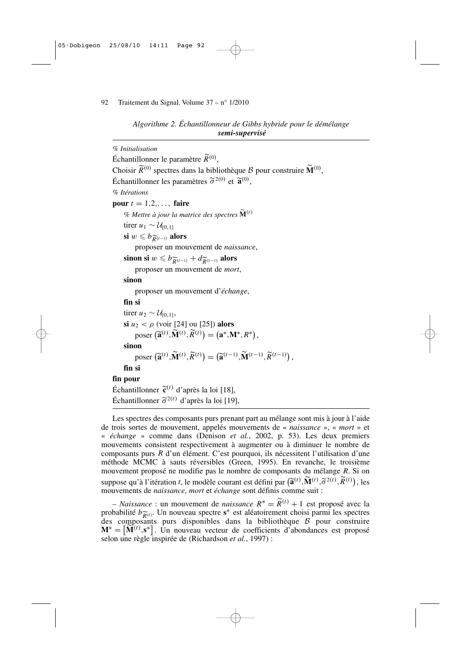*Algorithme 2. Échantillonneur de Gibbs hybride pour le démélange semi-supervisé*

| % Initialisation                                                                                                                                                                |
|---------------------------------------------------------------------------------------------------------------------------------------------------------------------------------|
| Échantillonner le paramètre $\widetilde{R}^{(0)}$ ,                                                                                                                             |
| Choisir $\widetilde{R}^{(0)}$ spectres dans la bibliothèque $\mathcal{B}$ pour construire $\widetilde{M}^{(0)}$ ,                                                               |
| Échantillonner les paramètres $\tilde{\sigma}^{2(0)}$ et $\tilde{\mathbf{a}}^{(0)}$ ,                                                                                           |
| % Itérations                                                                                                                                                                    |
| pour $t = 1, 2, \ldots$ , faire                                                                                                                                                 |
| % Mettre à jour la matrice des spectres $\widetilde{\mathbf{M}}^{(t)}$                                                                                                          |
| tirer $u_1 \sim \mathcal{U}_{[0,1]}$                                                                                                                                            |
| si $w \le b_{\widetilde{R}(t-1)}$ alors                                                                                                                                         |
| proposer un mouvement de <i>naissance</i> ,                                                                                                                                     |
| sinon si $w \leq b_{\widetilde{R}^{(t-1)}} + d_{\widetilde{R}^{(t-1)}}$ alors                                                                                                   |
| proposer un mouvement de <i>mort</i> ,                                                                                                                                          |
| sinon                                                                                                                                                                           |
| proposer un mouvement d'échange,                                                                                                                                                |
| fin si                                                                                                                                                                          |
| tirer $u_2 \sim \mathcal{U}_{[0,1]},$                                                                                                                                           |
| si $u_2 < \rho$ (voir [24] ou [25]) alors                                                                                                                                       |
| poser $(\widetilde{\mathbf{a}}^{(t)}, \widetilde{\mathbf{M}}^{(t)}, \widetilde{R}^{(t)}) = (\mathbf{a}^*, \mathbf{M}^*, R^*),$                                                  |
| sinon                                                                                                                                                                           |
| poser $(\widetilde{\mathbf{a}}^{(t)},\widetilde{\mathbf{M}}^{(t)},\widetilde{R}^{(t)})=(\widetilde{\mathbf{a}}^{(t-1)},\widetilde{\mathbf{M}}^{(t-1)},\widetilde{R}^{(t-1)})$ , |
| fin si                                                                                                                                                                          |
| fin pour                                                                                                                                                                        |
| Échantillonner $\tilde{\mathbf{c}}^{(t)}$ d'après la loi [18],                                                                                                                  |
| Échantillonner $\tilde{\sigma}^{2(t)}$ d'après la loi [19],                                                                                                                     |
| Les spectres des composants purs prenant part au mélange sont mis à jour à l'aide                                                                                               |

de trois sortes de mouvement, appelés mouvements de « *naissance* », « *mort* » et « *échange* » comme dans (Denison *et al.*, 2002, p. 53). Les deux premiers mouvements consistent respectivement à augmenter ou à diminuer le nombre de composants purs *R* d'un élément. C'est pourquoi, ils nécessitent l'utilisation d'une méthode MCMC à sauts réversibles (Green, 1995). En revanche, le troisième mouvement proposé ne modifie pas le nombre de composants du mélange *R*. Si on suppose qu'à l'itération *t*, le modèle courant est défini par  $(\widetilde{\mathbf{a}}^{(t)}, \widetilde{\mathbf{M}}^{(t)}, \widetilde{\sigma}^{2(t)}, \widetilde{R}^{(t)})$ , les mouvements de *naissance*, *mort* et *échange* sont définis comme suit :

– *Naissance* : un mouvement de *naissance R* <sup>∗</sup> <sup>=</sup> *<sup>R</sup>*(*t*) <sup>+</sup> <sup>1</sup> est proposé avec la probabilité  $b_{\widetilde{R}(t)}$ . Un nouveau spectre  $s^*$  est aléatoirement choisi parmi les spectres des composants purs disponibles dans la bibliothèque B pour construire des composants purs disponibles dans la bibliothèque B pour construire  $M^* = [\widetilde{M}^{(t)}, s^*]$ . Un nouveau vecteur de coefficients d'abondances est proposé selon une règle inspirée de (Richardson *et al.*, 1997) :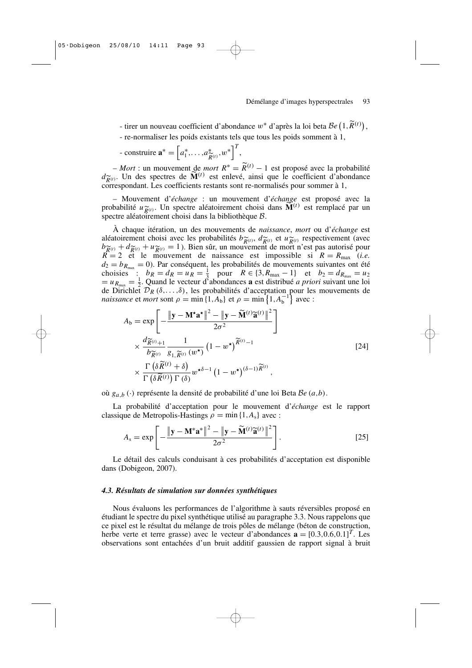- tirer un nouveau coefficient d'abondance w<sup>∗</sup> d'après la loi beta B*e* <sup>1</sup>,*R*(*t*) ,

- re-normaliser les poids existants tels que tous les poids somment à 1,

- constructive 
$$
\mathbf{a}^* = \left[a_1^*, \ldots, a_{\widetilde{R}^{(t)}}^*, w^*\right]^T
$$
,

– *Mort* : un mouvement de *mort*  $R^* = \widetilde{R}^{(t)} - 1$  est proposé avec la probabilité  $d_{\widetilde{R}(t)}^{\sim}$ . Un des spectres de  $\mathbf{M}^{(t)}$  est enlevé, ainsi que le coefficient d'abc correspondant. Les coefficients restants sont re-normalisés pour sommer à 1, . Un des spectres de  $\widetilde{M}^{(t)}$  est enlevé, ainsi que le coefficient d'abondance

– Mouvement d'*échange* : un mouvement d'*échange* est proposé avec la probabilité  $u \widetilde{R}(t)$ . Un spectre aléatoirement choisi dans  $\widetilde{M}^{(t)}$  est remplacé par un spectre aléatoirement choisi dans la bibliothèque B. spectre aléatoirement choisi dans la bibliothèque  $\beta$ .

À chaque itération, un des mouvements de *naissance*, *mort* ou d'*échange* est aléatoirement choisi avec les probabilités  $b\tilde{\chi}_{(t)}$ ,  $d\tilde{\chi}_{(t)}$  et  $u\tilde{\chi}_{(t)}$  respectivement (avec  $b\tilde{\chi}_{(t)} + d\tilde{\chi}_{(t)} + u\tilde{\chi}_{(t)} = 1$ ). Bien sûr, un mouvement de mort n'est pas autorisé pour  $b\tilde{R}(t) + d\tilde{R}(t) + u\tilde{R}(t) = 1$ ). Bien sûr, un mouvement de mort n'est pas autorisé pour  $R = 2$  et le mouvement de naissance est impossible si  $R = R_{\text{max}}$  (*i.e.*)  $d_2 = b_{R_{\text{max}}} = 0$ ). Par conséquent, les probabilités de mouvements suivantes ont été choisies :  $b_R = d_R = u_R = \frac{1}{3}$  pour  $R \in \{3, R_{\text{max}} - 1\}$  et  $b_2 = d_{R_{\text{max}}} = u_2$  $= u_{R_{\text{max}}} = \frac{1}{2}$ . Quand le vecteur d'abondances **a** est distribué *a priori* suivant une loi de Dirichlet  $\mathcal{D}_R(\delta,\ldots,\delta)$ , les probabilités d'acceptation pour les mouvements de *naissance* et *mort* sont  $\rho = \min\{1, A_b\}$  et  $\rho = \min\{1, A_b^{-1}\}$  avec :

$$
A_{b} = \exp\left[-\frac{\|\mathbf{y} - \mathbf{M}^{\star}\mathbf{a}^{\star}\|^{2} - \|\mathbf{y} - \widetilde{\mathbf{M}}^{(t)}\widetilde{\mathbf{a}}^{(t)}\|^{2}}{2\sigma^{2}}\right] \times \frac{d\widetilde{\mathbf{R}}^{(t)} + 1}{b\widetilde{\mathbf{R}}^{(t)}} \frac{1}{g_{1,\widetilde{R}^{(t)}}(w^{\star})} \left(1 - w^{\star}\right)^{\widetilde{R}^{(t)} - 1} \times \frac{\Gamma\left(\delta\widetilde{R}^{(t)} + \delta\right)}{\Gamma\left(\delta\widetilde{R}^{(t)}\right)\Gamma\left(\delta\right)} w^{\star\delta - 1} \left(1 - w^{\star}\right)^{(\delta - 1)\widetilde{R}^{(t)}},
$$
\n(24)

où *ga*,*<sup>b</sup>* (·) représente la densité de probabilité d'une loi Beta B*e* (*a*,*b*).

La probabilité d'acceptation pour le mouvement d'*échange* est le rapport classique de Metropolis-Hastings  $\rho = \min\{1, A_s\}$  avec :

$$
A_{s} = \exp\left[-\frac{\|\mathbf{y} - \mathbf{M}^{*}\mathbf{a}^{*}\|^{2} - \|\mathbf{y} - \widetilde{\mathbf{M}}^{(t)}\widetilde{\mathbf{a}}^{(t)}\|^{2}}{2\sigma^{2}}\right].
$$
\n(25)

Le détail des calculs conduisant à ces probabilités d'acceptation est disponible dans (Dobigeon, 2007).

#### *4.3. Résultats de simulation sur données synthétiques*

Nous évaluons les performances de l'algorithme à sauts réversibles proposé en étudiant le spectre du pixel synthétique utilisé au paragraphe 3.3. Nous rappelons que ce pixel est le résultat du mélange de trois pôles de mélange (béton de construction, herbe verte et terre grasse) avec le vecteur d'abondances  $\mathbf{a} = [0.3, 0.6, 0.1]^T$ . Les observations sont entachées d'un bruit additif gaussien de rapport signal à bruit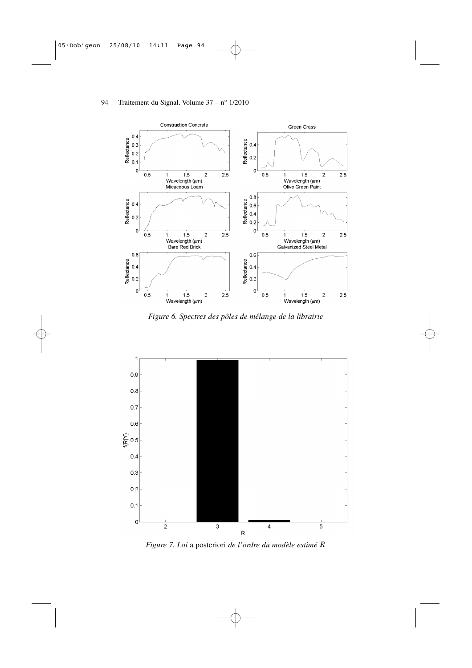

*Figure 6. Spectres des pôles de mélange de la librairie*



*Figure 7. Loi* a posteriori *de l'ordre du modèle estimé R*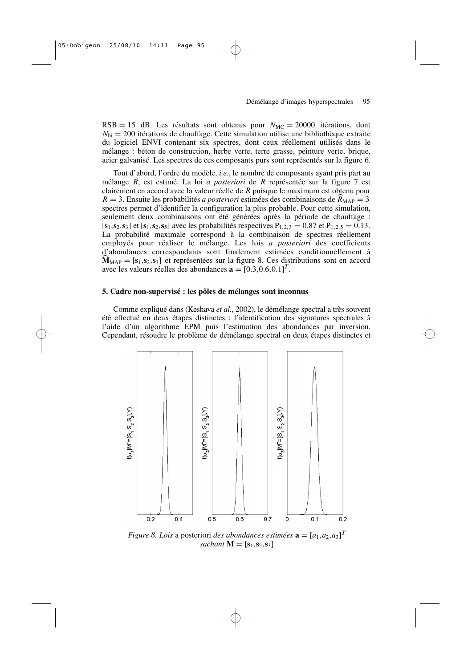$RSB = 15$  dB. Les résultats sont obtenus pour  $N<sub>MC</sub> = 20000$  itérations, dont  $N_{\text{bi}} = 200$  itérations de chauffage. Cette simulation utilise une bibliothèque extraite du logiciel ENVI contenant six spectres, dont ceux réellement utilisés dans le mélange : béton de construction, herbe verte, terre grasse, peinture verte, brique, acier galvanisé. Les spectres de ces composants purs sont représentés sur la figure 6.

Tout d'abord, l'ordre du modèle, *i.e.*, le nombre de composants ayant pris part au mélange *R*, est estimé. La loi *a posteriori* de *R* représentée sur la figure 7 est clairement en accord avec la valeur réelle de *R* puisque le maximum est obtenu pour  $R = 3$ . Ensuite les probabilités *a posteriori* estimées des combinaisons de  $R_{MAP} = 3$ spectres permet d'identifier la configuration la plus probable. Pour cette simulation, seulement deux combinaisons ont été générées après la période de chauffage :  $[s_1, s_2, s_3]$  et  $[s_1, s_2, s_5]$  avec les probabilités respectives  $P_{1,2,3} = 0.87$  et  $P_{1,2,5} = 0.13$ . La probabilité maximale correspond à la combinaison de spectres réellement employés pour réaliser le mélange. Les lois *a posteriori* des coefficients d'abondances correspondants sont finalement estimées conditionnellement à  $M_{MAP} = [s_1, s_2, s_3]$  et représentées sur la figure 8. Ces distributions sont en accord avec les valeurs réelles des abondances  $\mathbf{a} = \begin{bmatrix} 0.3, 0.6, 0.1 \end{bmatrix}^T$ .

# **5. Cadre non-supervisé : les pôles de mélanges sont inconnus**

Comme expliqué dans (Keshava *et al.*, 2002), le démélange spectral a très souvent été effectué en deux étapes distinctes : l'identification des signatures spectrales à l'aide d'un algorithme EPM puis l'estimation des abondances par inversion. Cependant, résoudre le problème de démélange spectral en deux étapes distinctes et



*Figure 8. Lois* a posteriori *des abondances estimées*  $\mathbf{a} = [a_1, a_2, a_3]^T$ *sachant*  $\mathbf{M} = [\mathbf{s}_1, \mathbf{s}_2, \mathbf{s}_3]$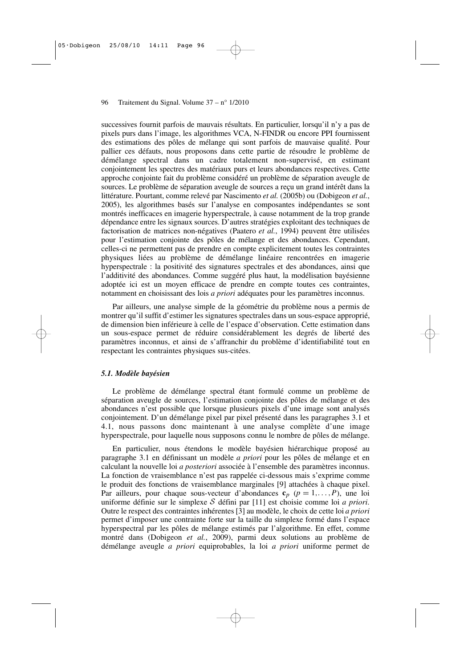successives fournit parfois de mauvais résultats. En particulier, lorsqu'il n'y a pas de pixels purs dans l'image, les algorithmes VCA, N-FINDR ou encore PPI fournissent des estimations des pôles de mélange qui sont parfois de mauvaise qualité. Pour pallier ces défauts, nous proposons dans cette partie de résoudre le problème de démélange spectral dans un cadre totalement non-supervisé, en estimant conjointement les spectres des matériaux purs et leurs abondances respectives. Cette approche conjointe fait du problème considéré un problème de séparation aveugle de sources. Le problème de séparation aveugle de sources a reçu un grand intérêt dans la littérature. Pourtant, comme relevé par Nascimento *et al.* (2005b) ou (Dobigeon *et al.*, 2005), les algorithmes basés sur l'analyse en composantes indépendantes se sont montrés inefficaces en imagerie hyperspectrale, à cause notamment de la trop grande dépendance entre les signaux sources. D'autres stratégies exploitant des techniques de factorisation de matrices non-négatives (Paatero *et al.*, 1994) peuvent être utilisées pour l'estimation conjointe des pôles de mélange et des abondances. Cependant, celles-ci ne permettent pas de prendre en compte explicitement toutes les contraintes physiques liées au problème de démélange linéaire rencontrées en imagerie hyperspectrale : la positivité des signatures spectrales et des abondances, ainsi que l'additivité des abondances. Comme suggéré plus haut, la modélisation bayésienne adoptée ici est un moyen efficace de prendre en compte toutes ces contraintes, notamment en choisissant des lois *a priori* adéquates pour les paramètres inconnus.

Par ailleurs, une analyse simple de la géométrie du problème nous a permis de montrer qu'il suffit d'estimer les signatures spectrales dans un sous-espace approprié, de dimension bien inférieure à celle de l'espace d'observation. Cette estimation dans un sous-espace permet de réduire considérablement les degrés de liberté des paramètres inconnus, et ainsi de s'affranchir du problème d'identifiabilité tout en respectant les contraintes physiques sus-citées.

# *5.1. Modèle bayésien*

Le problème de démélange spectral étant formulé comme un problème de séparation aveugle de sources, l'estimation conjointe des pôles de mélange et des abondances n'est possible que lorsque plusieurs pixels d'une image sont analysés conjointement. D'un démélange pixel par pixel présenté dans les paragraphes 3.1 et 4.1, nous passons donc maintenant à une analyse complète d'une image hyperspectrale, pour laquelle nous supposons connu le nombre de pôles de mélange.

En particulier, nous étendons le modèle bayésien hiérarchique proposé au paragraphe 3.1 en définissant un modèle *a priori* pour les pôles de mélange et en calculant la nouvelle loi *a posteriori* associée à l'ensemble des paramètres inconnus. La fonction de vraisemblance n'est pas rappelée ci-dessous mais s'exprime comme le produit des fonctions de vraisemblance marginales [9] attachées à chaque pixel. Par ailleurs, pour chaque sous-vecteur d'abondances  $\mathbf{c}_p$  ( $p = 1, \ldots, P$ ), une loi uniforme définie sur le simplexe S défini par [11] est choisie comme loi *a priori*. Outre le respect des contraintes inhérentes [3] au modèle, le choix de cette loi *a priori* permet d'imposer une contrainte forte sur la taille du simplexe formé dans l'espace hyperspectral par les pôles de mélange estimés par l'algorithme. En effet, comme montré dans (Dobigeon *et al.*, 2009), parmi deux solutions au problème de démélange aveugle *a priori* equiprobables, la loi *a priori* uniforme permet de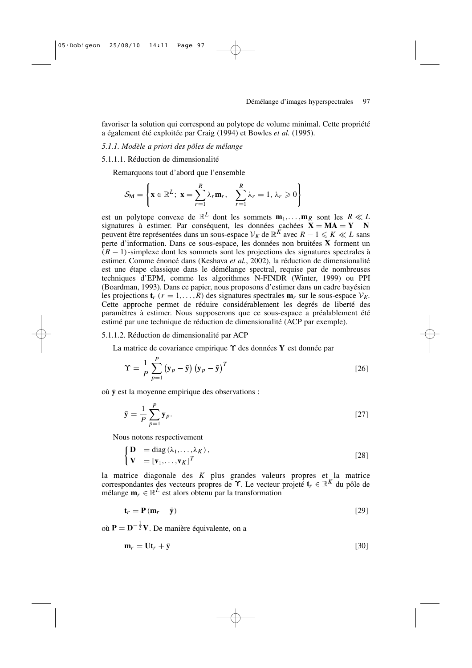favoriser la solution qui correspond au polytope de volume minimal. Cette propriété a également été exploitée par Craig (1994) et Bowles *et al.* (1995).

# *5.1.1. Modèle a priori des pôles de mélange*

5.1.1.1. Réduction de dimensionalité

Remarquons tout d'abord que l'ensemble

$$
\mathcal{S}_{\mathbf{M}} = \left\{ \mathbf{x} \in \mathbb{R}^L; \ \mathbf{x} = \sum_{r=1}^R \lambda_r \mathbf{m}_r, \quad \sum_{r=1}^R \lambda_r = 1, \lambda_r \geq 0 \right\}
$$

est un polytope convexe de  $\mathbb{R}^L$  dont les sommets  $\mathbf{m}_1, \ldots, \mathbf{m}_R$  sont les  $R \ll L$ signatures à estimer. Par conséquent, les données cachées  $X = MA = Y - N$ peuvent être représentées dans un sous-espace  $V_K$  de  $\mathbb{R}^K$  avec  $R - 1 \leqslant K \ll L$  sans perte d'information. Dans ce sous-espace, les données non bruitées **X** forment un (*R* − 1)-simplexe dont les sommets sont les projections des signatures spectrales à estimer. Comme énoncé dans (Keshava *et al.*, 2002), la réduction de dimensionalité est une étape classique dans le démélange spectral, requise par de nombreuses techniques d'EPM, comme les algorithmes N-FINDR (Winter, 1999) ou PPI (Boardman, 1993). Dans ce papier, nous proposons d'estimer dans un cadre bayésien les projections  $\mathbf{t}_r$  ( $r = 1, \ldots, R$ ) des signatures spectrales  $\mathbf{m}_r$  sur le sous-espace  $V_K$ . Cette approche permet de réduire considérablement les degrés de liberté des paramètres à estimer. Nous supposerons que ce sous-espace a préalablement été estimé par une technique de réduction de dimensionalité (ACP par exemple).

#### 5.1.1.2. Réduction de dimensionalité par ACP

La matrice de covariance empirique ϒ des données **Y** est donnée par

$$
\Upsilon = \frac{1}{P} \sum_{p=1}^{P} (\mathbf{y}_p - \bar{\mathbf{y}}) (\mathbf{y}_p - \bar{\mathbf{y}})^T
$$
 [26]

où  $\bar{v}$  est la moyenne empirique des observations :

$$
\bar{\mathbf{y}} = \frac{1}{P} \sum_{p=1}^{P} \mathbf{y}_p.
$$

Nous notons respectivement

$$
\begin{cases}\n\mathbf{D} = \text{diag}(\lambda_1, \dots, \lambda_K), \\
\mathbf{V} = [\mathbf{v}_1, \dots, \mathbf{v}_K]^T\n\end{cases}
$$
\n[28]

la matrice diagonale des *K* plus grandes valeurs propres et la matrice correspondantes des vecteurs propres de ϒ. Le vecteur projeté **t***<sup>r</sup>* ∈ R *<sup>K</sup>* du pôle de mélange  $\mathbf{m}_r \in \mathbb{R}^L$  est alors obtenu par la transformation

$$
\mathbf{t}_r = \mathbf{P}(\mathbf{m}_r - \bar{\mathbf{y}}) \tag{29}
$$

 $\overrightarrow{P} = \overrightarrow{D}^{-\frac{1}{2}}V$ . De manière équivalente, on a

$$
\mathbf{m}_r = \mathbf{U}\mathbf{t}_r + \bar{\mathbf{y}} \tag{30}
$$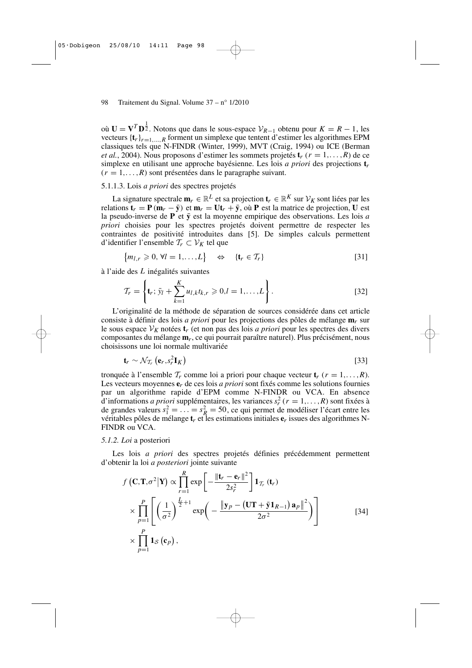où **U** =  $V^T D^{\frac{1}{2}}$ . Notons que dans le sous-espace  $V_{R-1}$  obtenu pour  $K = R - 1$ , les vecteurs  ${\{\mathbf t}_r\}_{r=1,\ldots,R}$  forment un simplexe que tentent d'estimer les algorithmes EPM classiques tels que N-FINDR (Winter, 1999), MVT (Craig, 1994) ou ICE (Berman *et al.*, 2004). Nous proposons d'estimer les sommets projetés  $\mathbf{t}_r$  ( $r = 1, \ldots, R$ ) de ce simplexe en utilisant une approche bayésienne. Les lois *a priori* des projections **t***r*  $(r = 1, \ldots, R)$  sont présentées dans le paragraphe suivant.

## 5.1.1.3. Lois *a priori* des spectres projetés

La signature spectrale  $\mathbf{m}_r \in \mathbb{R}^L$  et sa projection  $\mathbf{t}_r \in \mathbb{R}^K$  sur  $\mathcal{V}_K$  sont liées par les relations  $\mathbf{t}_r = \mathbf{P}(\mathbf{m}_r - \bar{\mathbf{y}})$  et  $\mathbf{m}_r = \mathbf{U} \mathbf{t}_r + \bar{\mathbf{y}}$ , où  $\mathbf{P}$  est la matrice de projection,  $\mathbf{U}$  est la pseudo-inverse de  $P$  et  $\bar{y}$  est la moyenne empirique des observations. Les lois *a priori* choisies pour les spectres projetés doivent permettre de respecter les contraintes de positivité introduites dans [5]. De simples calculs permettent d'identifier l'ensemble T*<sup>r</sup>* ⊂ V*<sup>K</sup>* tel que

$$
\{m_{l,r} \geqslant 0, \forall l = 1,\ldots,L\} \quad \Leftrightarrow \quad \{\mathbf{t}_r \in \mathcal{T}_r\}
$$
\n
$$
\tag{31}
$$

à l'aide des *L* inégalités suivantes

$$
\mathcal{T}_r = \left\{ \mathbf{t}_r; \, \bar{y}_l + \sum_{k=1}^K u_{l,k} t_{k,r} \geq 0, l = 1, \dots, L \right\}.
$$
 [32]

L'originalité de la méthode de séparation de sources considérée dans cet article consiste à définir des lois *a priori* pour les projections des pôles de mélange **m***r* sur le sous espace  $V_K$  notées  $t_r$  (et non pas des lois *a priori* pour les spectres des divers composantes du mélange **m***r*, ce qui pourrait paraître naturel). Plus précisément, nous choisissons une loi normale multivariée

$$
\mathbf{t}_r \sim \mathcal{N}_{\mathcal{T}_r} \left( \mathbf{e}_r, s_r^2 \mathbf{I}_K \right) \tag{33}
$$

tronquée à l'ensemble  $\mathcal{T}_r$  comme loi a priori pour chaque vecteur  $\mathbf{t}_r$  ( $r = 1, \ldots, R$ ). Les vecteurs moyennes **e***r* de ces lois *a priori* sont fixés comme les solutions fournies par un algorithme rapide d'EPM comme N-FINDR ou VCA. En absence d'informations *a priori* supplémentaires, les variances  $s_r^2$  ( $r = 1, \ldots, R$ ) sont fixées à de grandes valeurs  $s_1^2 = \ldots = s_R^2 = 50$ , ce qui permet de modéliser l'écart entre les véritables pôles de mélange **t***r* et les estimations initiales **e***r* issues des algorithmes N-FINDR ou VCA.

#### *5.1.2. Loi* a posteriori

Les lois *a priori* des spectres projetés définies précédemment permettent d'obtenir la loi *a posteriori* jointe suivante

$$
f\left(\mathbf{C}, \mathbf{T}, \sigma^2 | \mathbf{Y}\right) \propto \prod_{r=1}^R \exp\left[-\frac{\|\mathbf{t}_r - \mathbf{e}_r\|^2}{2s_r^2}\right] \mathbf{1}_{\mathcal{T}_r} \left(\mathbf{t}_r\right)
$$
  
 
$$
\times \prod_{p=1}^P \left[\left(\frac{1}{\sigma^2}\right)^{\frac{L}{2}+1} \exp\left(-\frac{\|\mathbf{y}_p - (\mathbf{U}\mathbf{T} + \bar{\mathbf{y}}\mathbf{1}_{R-1})\mathbf{a}_p\|^2}{2\sigma^2}\right)\right]
$$
  
 
$$
\times \prod_{p=1}^P \mathbf{1}_{\mathcal{S}}\left(\mathbf{c}_p\right), \tag{34}
$$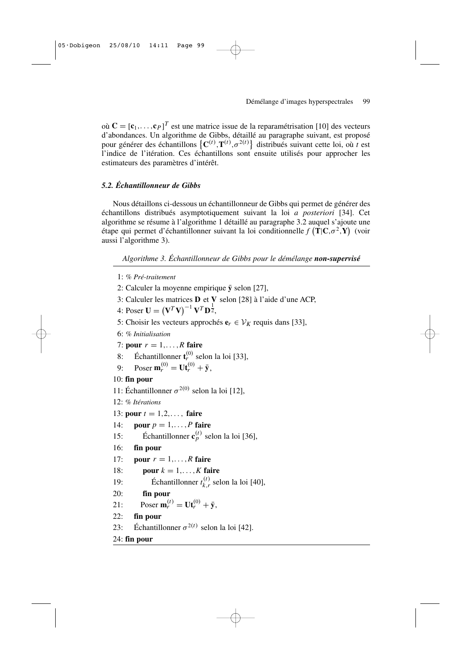où  $\mathbf{C} = [\mathbf{c}_1, \dots, \mathbf{c}_P]^T$  est une matrice issue de la reparamétrisation [10] des vecteurs d'abondances. Un algorithme de Gibbs, détaillé au paragraphe suivant, est proposé pour générer des échantillons  $\{C^{(t)}, T^{(t)}, \sigma^{2(t)}\}$  distribués suivant cette loi, où *t* est l'indice de l'itération. Ces échantillons sont ensuite utilisés pour approcher les estimateurs des paramètres d'intérêt.

# *5.2. Échantillonneur de Gibbs*

Nous détaillons ci-dessous un échantillonneur de Gibbs qui permet de générer des échantillons distribués asymptotiquement suivant la loi *a posteriori* [34]. Cet algorithme se résume à l'algorithme 1 détaillé au paragraphe 3.2 auquel s'ajoute une étape qui permet d'échantillonner suivant la loi conditionnelle  $f(\mathbf{T}|\mathbf{C}, \sigma^2, \mathbf{Y})$  (voir aussi l'algorithme 3).

*Algorithme 3. Échantillonneur de Gibbs pour le démélange non-supervisé*

- 1: *% Pré-traitement*
- 2: Calculer la moyenne empirique  $\bar{y}$  selon [27],
- 3: Calculer les matrices **D** et **V** selon [28] à l'aide d'une ACP,
- 4: Poser  $U = (V^T V)^{-1} V^T D^{\frac{1}{2}}$ ,
- 5: Choisir les vecteurs approchés  $e_r$  ∈  $V_K$  requis dans [33],
- 6: *% Initialisation*
- 7: **pour**  $r = 1, \ldots, R$  **faire**
- 8: Échantillonner  $\mathbf{t}_r^{(0)}$  selon la loi [33],
- 9: Poser  $\mathbf{m}_r^{(0)} = \mathbf{U} \mathbf{t}_r^{(0)} + \bar{\mathbf{y}},$

# 10: **fin pour**

```
11: Échantillonner \sigma^{2(0)} selon la loi [12],
```
- 12: *% Itérations*
- 13: **pour**  $t = 1, 2, \ldots$ , **faire**
- 14: **pour**  $p = 1, \ldots, P$  **faire**
- 15: Échantillonner  $\mathbf{c}_p^{(t)}$  selon la loi [36],
- 16: **fin pour**
- 17: **pour**  $r = 1,...,R$  **faire**
- 18: **pour**  $k = 1, \ldots, K$  **faire**
- 19: Échantillonner  $t_k^{(t)}$  $\int_{k,r}^{(t)}$  selon la loi [40],
- 20: **fin pour**
- 21: Poser  $\mathbf{m}_r^{(t)} = \mathbf{U} \mathbf{t}_r^{(0)} + \bar{\mathbf{y}},$
- 22: **fin pour**
- 23: Échantillonner  $\sigma^{2(t)}$  selon la loi [42].

# 24: **fin pour**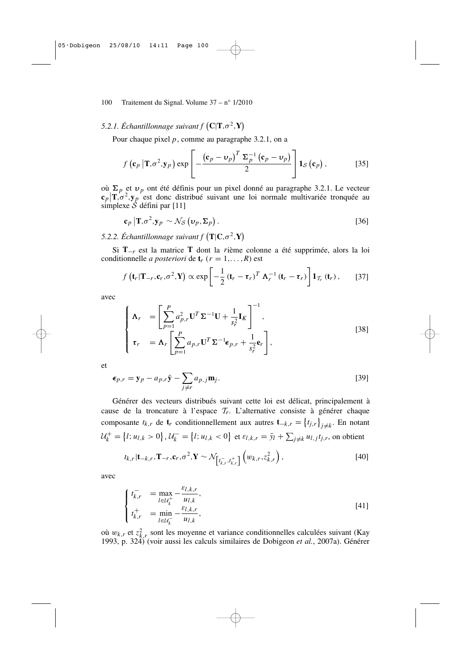# 5.2.1. Échantillonnage suivant  $f$   $(C|\mathbf{T}, \sigma^2, \mathbf{Y})$

Pour chaque pixel *p*, comme au paragraphe 3.2.1, on a

$$
f\left(\mathbf{c}_p\left|\mathbf{T},\sigma^2,\mathbf{y}_p\right.\right)\exp\left[-\frac{\left(\mathbf{c}_p-\mathbf{v}_p\right)^T\Sigma_p^{-1}\left(\mathbf{c}_p-\mathbf{v}_p\right)}{2}\right]\mathbf{1}_{\mathcal{S}}\left(\mathbf{c}_p\right),\qquad\qquad[35]
$$

où  $\Sigma_p$  et  $v_p$  ont été définis pour un pixel donné au paragraphe 3.2.1. Le vecteur  $\mathbf{c}_p | \mathbf{T}, \sigma^2, \mathbf{y}_p$  est donc distribué suivant une loi normale multivariée tronquée au simplexe  $\hat{\mathcal{S}}$  défini par [11]

$$
\mathbf{c}_p \left| \mathbf{T}, \sigma^2, \mathbf{y}_p \sim \mathcal{N}_{\mathcal{S}} \left( \mathbf{v}_p, \Sigma_p \right) \right. \tag{36}
$$

5.2.2. Échantillonnage suivant  $f(\mathbf{T}|\mathbf{C}, \sigma^2, \mathbf{Y})$ 

Si **T**−*r* est la matrice **T** dont la *r*ième colonne a été supprimée, alors la loi conditionnelle *a posteriori* de  $\mathbf{t}_r$  ( $r = 1, \ldots, R$ ) est

$$
f\left(\mathbf{t}_r|\mathbf{T}_{-r},\mathbf{c}_r,\sigma^2,\mathbf{Y}\right)\propto\exp\left[-\frac{1}{2}\left(\mathbf{t}_r-\boldsymbol{\tau}_r\right)^T\boldsymbol{\Lambda}_r^{-1}\left(\mathbf{t}_r-\boldsymbol{\tau}_r\right)\right]\mathbf{1}_{T_r}\left(\mathbf{t}_r\right),\qquad[37]
$$

avec

$$
\begin{cases}\n\mathbf{\Lambda}_r = \left[ \sum_{p=1}^P a_{p,r}^2 \mathbf{U}^T \Sigma^{-1} \mathbf{U} + \frac{1}{s_r^2} \mathbf{I}_K \right]^{-1}, \\
\tau_r = \mathbf{\Lambda}_r \left[ \sum_{p=1}^P a_{p,r} \mathbf{U}^T \Sigma^{-1} \boldsymbol{\epsilon}_{p,r} + \frac{1}{s_r^2} \mathbf{e}_r \right],\n\end{cases}
$$
\n
$$
(38)
$$

et

$$
\epsilon_{p,r} = \mathbf{y}_p - a_{p,r}\bar{\mathbf{y}} - \sum_{j \neq r} a_{p,j}\mathbf{m}_j.
$$

Générer des vecteurs distribués suivant cette loi est délicat, principalement à cause de la troncature à l'espace T*r*. L'alternative consiste à générer chaque composante  $t_{k,r}$  de  $\mathbf{t}_r$  conditionnellement aux autres  $\mathbf{t}_{-k,r} = \{t_{j,r}\}_{j \neq k}$ . En notant  $\mathcal{U}_k^+ = \{l; u_{l,k} > 0\}$ ,  $\mathcal{U}_k^- = \{l; u_{l,k} < 0\}$  et  $\varepsilon_{l,k,r} = \bar{y}_l + \sum_{j \neq k} u_{l,j} t_{j,r}$ , on obtient

$$
t_{k,r}|\mathbf{t}_{-k,r},\mathbf{T}_{-r},\mathbf{c}_r,\sigma^2,\mathbf{Y}\sim\mathcal{N}_{\left[t_{k,r}^-,t_{k,r}^+\right]}\left(w_{k,r},z_{k,r}^2\right),\tag{40}
$$

avec

$$
\begin{cases}\n t_{k,r}^- &= \max_{l \in \mathcal{U}_k^+} -\frac{\varepsilon_{l,k,r}}{u_{l,k}}, \\
 t_{k,r}^+ &= \min_{l \in \mathcal{U}_k^-} -\frac{\varepsilon_{l,k,r}}{u_{l,k}},\n\end{cases} \tag{41}
$$

où  $w_{k,r}$  et  $z_{k,r}^2$  sont les moyenne et variance conditionnelles calculées suivant (Kay 1993, p. 324) (voir aussi les calculs similaires de Dobigeon *et al.*, 2007a). Générer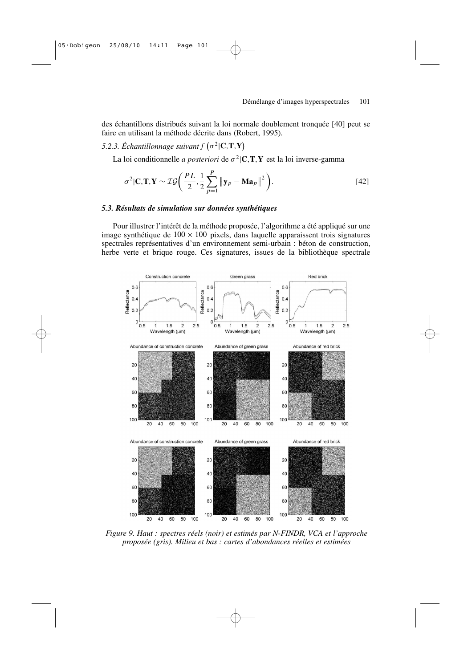des échantillons distribués suivant la loi normale doublement tronquée [40] peut se faire en utilisant la méthode décrite dans (Robert, 1995).

5.2.3. Échantillonnage suivant  $f(\sigma^2 | \mathbf{C}, \mathbf{T}, \mathbf{Y})$ 

La loi conditionnelle *a posteriori* de  $\sigma^2$ |**C**,**T**,**Y** est la loi inverse-gamma

$$
\sigma^2 |\mathbf{C}, \mathbf{T}, \mathbf{Y} \sim \mathcal{IG}\left(\frac{PL}{2}, \frac{1}{2} \sum_{p=1}^P \|\mathbf{y}_p - \mathbf{M}\mathbf{a}_p\|^2\right).
$$
 [42]

# *5.3. Résultats de simulation sur données synthétiques*

Pour illustrer l'intérêt de la méthode proposée, l'algorithme a été appliqué sur une image synthétique de  $100 \times 100$  pixels, dans laquelle apparaissent trois signatures spectrales représentatives d'un environnement semi-urbain : béton de construction, herbe verte et brique rouge. Ces signatures, issues de la bibliothèque spectrale



*Figure 9. Haut : spectres réels (noir) et estimés par N-FINDR, VCA et l'approche proposée (gris). Milieu et bas : cartes d'abondances réelles et estimées*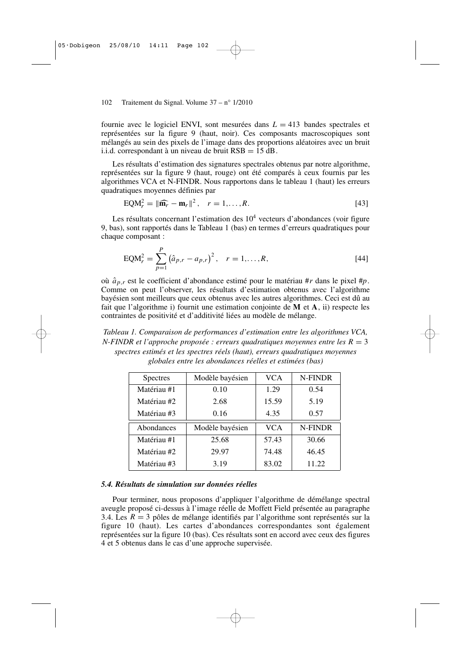fournie avec le logiciel ENVI, sont mesurées dans  $L = 413$  bandes spectrales et représentées sur la figure 9 (haut, noir). Ces composants macroscopiques sont mélangés au sein des pixels de l'image dans des proportions aléatoires avec un bruit i.i.d. correspondant à un niveau de bruit RSB = 15 dB.

Les résultats d'estimation des signatures spectrales obtenus par notre algorithme, représentées sur la figure 9 (haut, rouge) ont été comparés à ceux fournis par les algorithmes VCA et N-FINDR. Nous rapportons dans le tableau 1 (haut) les erreurs quadratiques moyennes définies par

$$
EQM_r^2 = \|\widehat{\mathbf{m}_r} - \mathbf{m}_r\|^2, \quad r = 1, \dots, R. \tag{43}
$$

Les résultats concernant l'estimation des  $10<sup>4</sup>$  vecteurs d'abondances (voir figure 9, bas), sont rapportés dans le Tableau 1 (bas) en termes d'erreurs quadratiques pour chaque composant :

EQM<sub>r</sub><sup>2</sup> = 
$$
\sum_{p=1}^{P} (\hat{a}_{p,r} - a_{p,r})^2
$$
, r = 1,..., R, [44]

où  $\hat{a}_{p,r}$  est le coefficient d'abondance estimé pour le matériau #*r* dans le pixel #*p*. Comme on peut l'observer, les résultats d'estimation obtenus avec l'algorithme bayésien sont meilleurs que ceux obtenus avec les autres algorithmes. Ceci est dû au fait que l'algorithme i) fournit une estimation conjointe de **M** et **A**, ii) respecte les contraintes de positivité et d'additivité liées au modèle de mélange.

*Tableau 1. Comparaison de performances d'estimation entre les algorithmes VCA, N-FINDR et l'approche proposée : erreurs quadratiques moyennes entre les R* = 3 *spectres estimés et les spectres réels (haut), erreurs quadratiques moyennes globales entre les abondances réelles et estimées (bas)*

| <b>Spectres</b> | Modèle bayésien | <b>VCA</b> | N-FINDR |
|-----------------|-----------------|------------|---------|
| Matériau #1     | 0.10            | 1.29       | 0.54    |
| Matériau #2     | 2.68            | 15.59      | 5.19    |
| Matériau #3     | 0.16            | 4.35       | 0.57    |
|                 |                 |            |         |
| Abondances      | Modèle bayésien | <b>VCA</b> | N-FINDR |
| Matériau #1     | 25.68           | 57.43      | 30.66   |
| Matériau #2     | 29.97           | 74.48      | 46.45   |
| Matériau #3     | 3.19            | 83.02      | 11.22   |

# *5.4. Résultats de simulation sur données réelles*

Pour terminer, nous proposons d'appliquer l'algorithme de démélange spectral aveugle proposé ci-dessus à l'image réelle de Moffett Field présentée au paragraphe 3.4. Les *R* = 3 pôles de mélange identifiés par l'algorithme sont représentés sur la figure 10 (haut). Les cartes d'abondances correspondantes sont également représentées sur la figure 10 (bas). Ces résultats sont en accord avec ceux des figures 4 et 5 obtenus dans le cas d'une approche supervisée.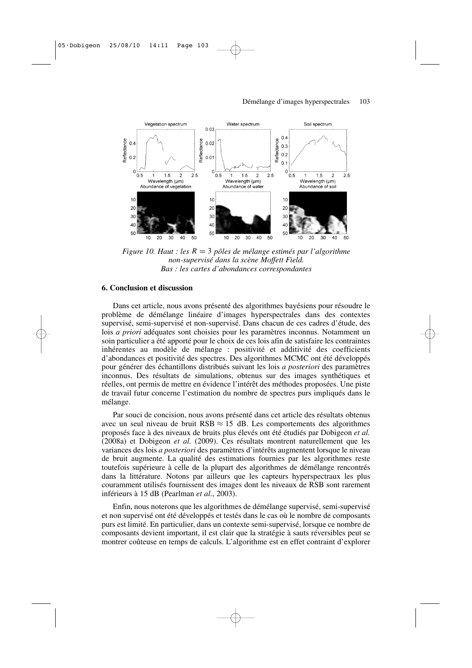

*Figure 10. Haut : les R* = 3 *pôles de mélange estimés par l'algorithme non-supervisé dans la scène Moffett Field. Bas : les cartes d'abondances correspondantes*

# **6. Conclusion et discussion**

Dans cet article, nous avons présenté des algorithmes bayésiens pour résoudre le problème de démélange linéaire d'images hyperspectrales dans des contextes supervisé, semi-supervisé et non-supervisé. Dans chacun de ces cadres d'étude, des lois *a priori* adéquates sont choisies pour les paramètres inconnus. Notamment un soin particulier a été apporté pour le choix de ces lois afin de satisfaire les contraintes inhérentes au modèle de mélange : positivité et additivité des coefficients d'abondances et positivité des spectres. Des algorithmes MCMC ont été développés pour générer des échantillons distribués suivant les lois *a posteriori* des paramètres inconnus. Des résultats de simulations, obtenus sur des images synthétiques et réelles, ont permis de mettre en évidence l'intérêt des méthodes proposées. Une piste de travail futur concerne l'estimation du nombre de spectres purs impliqués dans le mélange.

Par souci de concision, nous avons présenté dans cet article des résultats obtenus avec un seul niveau de bruit RSB  $\approx$  15 dB. Les comportements des algorithmes proposés face à des niveaux de bruits plus élevés ont été étudiés par Dobigeon *et al.* (2008a) et Dobigeon *et al.* (2009). Ces résultats montrent naturellement que les variances des lois *a posteriori* des paramètres d'intérêts augmentent lorsque le niveau de bruit augmente. La qualité des estimations fournies par les algorithmes reste toutefois supérieure à celle de la plupart des algorithmes de démélange rencontrés dans la littérature. Notons par ailleurs que les capteurs hyperspectraux les plus couramment utilisés fournissent des images dont les niveaux de RSB sont rarement inférieurs à 15 dB (Pearlman *et al.*, 2003).

Enfin, nous noterons que les algorithmes de démélange supervisé, semi-supervisé et non supervisé ont été développés et testés dans le cas où le nombre de composants purs est limité. En particulier, dans un contexte semi-supervisé, lorsque ce nombre de composants devient important, il est clair que la stratégie à sauts réversibles peut se montrer coûteuse en temps de calculs. L'algorithme est en effet contraint d'explorer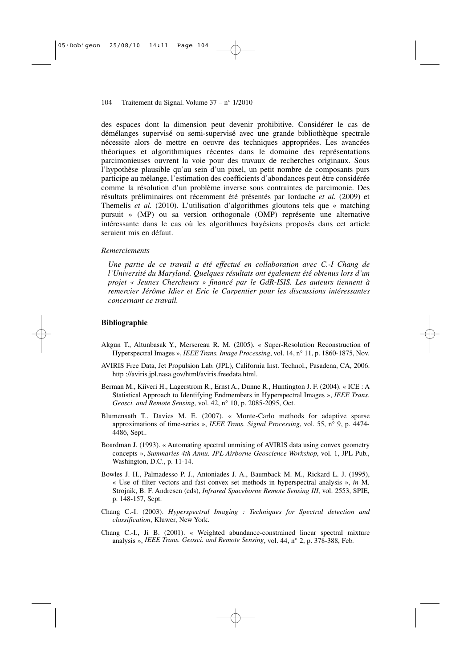des espaces dont la dimension peut devenir prohibitive. Considérer le cas de démélanges supervisé ou semi-supervisé avec une grande bibliothèque spectrale nécessite alors de mettre en oeuvre des techniques appropriées. Les avancées théoriques et algorithmiques récentes dans le domaine des représentations parcimonieuses ouvrent la voie pour des travaux de recherches originaux. Sous l'hypothèse plausible qu'au sein d'un pixel, un petit nombre de composants purs participe au mélange, l'estimation des coefficients d'abondances peut être considérée comme la résolution d'un problème inverse sous contraintes de parcimonie. Des résultats préliminaires ont récemment été présentés par Iordache *et al.* (2009) et Themelis *et al.* (2010). L'utilisation d'algorithmes gloutons tels que « matching pursuit » (MP) ou sa version orthogonale (OMP) représente une alternative intéressante dans le cas où les algorithmes bayésiens proposés dans cet article seraient mis en défaut.

## *Remerciements*

*Une partie de ce travail a été effectué en collaboration avec C.-I Chang de l'Université du Maryland. Quelques résultats ont également été obtenus lors d'un projet « Jeunes Chercheurs » financé par le GdR-ISIS. Les auteurs tiennent à remercier Jérôme Idier et Eric le Carpentier pour les discussions intéressantes concernant ce travail.* 

# **Bibliographie**

- Akgun T., Altunbasak Y., Mersereau R. M. (2005). « Super-Resolution Reconstruction of Hyperspectral Images », *IEEE Trans. Image Processing*, vol. 14, n° 11, p. 1860-1875, Nov.
- AVIRIS Free Data, Jet Propulsion Lab. (JPL), California Inst. Technol., Pasadena, CA, 2006. http ://aviris.jpl.nasa.gov/html/aviris.freedata.html.
- Berman M., Kiiveri H., Lagerstrom R., Ernst A., Dunne R., Huntington J. F. (2004). « ICE : A Statistical Approach to Identifying Endmembers in Hyperspectral Images », *IEEE Trans. Geosci. and Remote Sensing*, vol. 42, n° 10, p. 2085-2095, Oct.
- Blumensath T., Davies M. E. (2007). « Monte-Carlo methods for adaptive sparse approximations of time-series », *IEEE Trans. Signal Processing*, vol. 55, n° 9, p. 4474- 4486, Sept..
- Boardman J. (1993). « Automating spectral unmixing of AVIRIS data using convex geometry concepts », *Summaries 4th Annu. JPL Airborne Geoscience Workshop*, vol. 1, JPL Pub., Washington, D.C., p. 11-14.
- Bowles J. H., Palmadesso P. J., Antoniades J. A., Baumback M. M., Rickard L. J. (1995), « Use of filter vectors and fast convex set methods in hyperspectral analysis », *in* M. Strojnik, B. F. Andresen (eds), *Infrared Spaceborne Remote Sensing III*, vol. 2553, SPIE, p. 148-157, Sept.
- Chang C.-I. (2003). *Hyperspectral Imaging : Techniques for Spectral detection and classification*, Kluwer, New York.
- Chang C.-I., Ji B. (2001). « Weighted abundance-constrained linear spectral mixture analysis », *IEEE Trans. Geosci. and Remote Sensing*, vol. 44, n° 2, p. 378-388, Feb.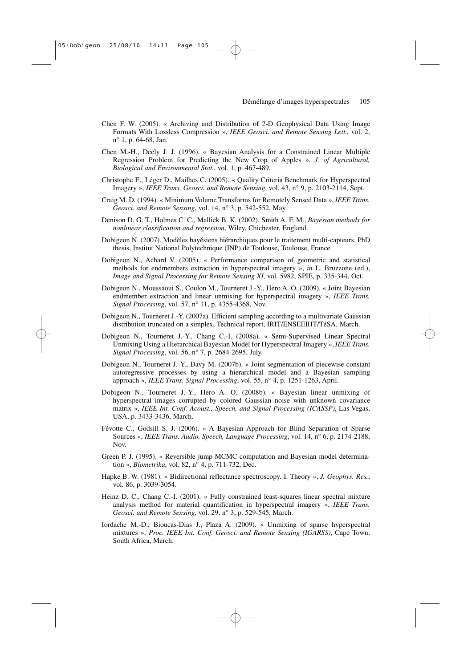- Chen F. W. (2005). « Archiving and Distribution of 2-D Geophysical Data Using Image Formats With Lossless Compression », *IEEE Geosci. and Remote Sensing Lett.*, vol. 2, n° 1, p. 64-68, Jan.
- Chen M.-H., Deely J. J. (1996). « Bayesian Analysis for a Constrained Linear Multiple Regression Problem for Predicting the New Crop of Apples », *J. of Agricultural, Biological and Environmental Stat.*, vol. 1, p. 467-489.
- Christophe E., Léger D., Mailhes C. (2005). « Quality Criteria Benchmark for Hyperspectral Imagery », *IEEE Trans. Geosci. and Remote Sensing*, vol. 43, n° 9, p. 2103-2114, Sept.
- Craig M. D. (1994). « Minimum Volume Transforms for Remotely Sensed Data », *IEEE Trans. Geosci. and Remote Sensing*, vol. 14, n° 3, p. 542-552, May.
- Denison D. G. T., Holmes C. C., Mallick B. K. (2002). Smith A. F. M., *Bayesian methods for nonlinear classification and regression*, Wiley, Chichester, England.
- Dobigeon N. (2007). Modèles bayésiens hiérarchiques pour le traitement multi-capteurs, PhD thesis, Institut National Polytechnique (INP) de Toulouse, Toulouse, France.
- Dobigeon N., Achard V. (2005). « Performance comparison of geometric and statistical methods for endmembers extraction in hyperspectral imagery », *in* L. Bruzzone (ed.), *Image and Signal Processing for Remote Sensing XI*, vol. 5982, SPIE, p. 335-344, Oct.
- Dobigeon N., Moussaoui S., Coulon M., Tourneret J.-Y., Hero A. O. (2009). « Joint Bayesian endmember extraction and linear unmixing for hyperspectral imagery », *IEEE Trans. Signal Processing*, vol. 57, n° 11, p. 4355-4368, Nov.
- Dobigeon N., Tourneret J.-Y. (2007a). Efficient sampling according to a multivariate Gaussian distribution truncated on a simplex, Technical report, IRIT/ENSEEIHT/TéSA, March.
- Dobigeon N., Tourneret J.-Y., Chang C.-I. (2008a). « Semi-Supervised Linear Spectral Unmixing Using a Hierarchical Bayesian Model for Hyperspectral Imagery », *IEEE Trans. Signal Processing*, vol. 56, n° 7, p. 2684-2695, July.
- Dobigeon N., Tourneret J.-Y., Davy M. (2007b). « Joint segmentation of piecewise constant autoregressive processes by using a hierarchical model and a Bayesian sampling approach », *IEEE Trans. Signal Processing*, vol. 55, n° 4, p. 1251-1263, April.
- Dobigeon N., Tourneret J.-Y., Hero A. O. (2008b). « Bayesian linear unmixing of hyperspectral images corrupted by colored Gaussian noise with unknown covariance matrix », *IEEE Int. Conf. Acoust., Speech, and Signal Processing (ICASSP)*, Las Vegas, USA, p. 3433-3436, March.
- Févotte C., Godsill S. J. (2006). « A Bayesian Approach for Blind Separation of Sparse Sources », *IEEE Trans. Audio, Speech, Language Processing*, vol. 14, n° 6, p. 2174-2188, Nov.
- Green P. J. (1995). « Reversible jump MCMC computation and Bayesian model determination », *Biometrika*, vol. 82, n° 4, p. 711-732, Dec.
- Hapke B. W. (1981). « Bidirectional reflectance spectroscopy. I. Theory », *J. Geophys. Res.*, vol. 86, p. 3039-3054.
- Heinz D. C., Chang C.-I. (2001). « Fully constrained least-squares linear spectral mixture analysis method for material quantification in hyperspectral imagery », *IEEE Trans. Geosci. and Remote Sensing*, vol. 29, n° 3, p. 529-545, March.
- Iordache M.-D., Bioucas-Dias J., Plaza A. (2009). « Unmixing of sparse hyperspectral mixtures », *Proc. IEEE Int. Conf. Geosci. and Remote Sensing (IGARSS)*, Cape Town, South Africa, March.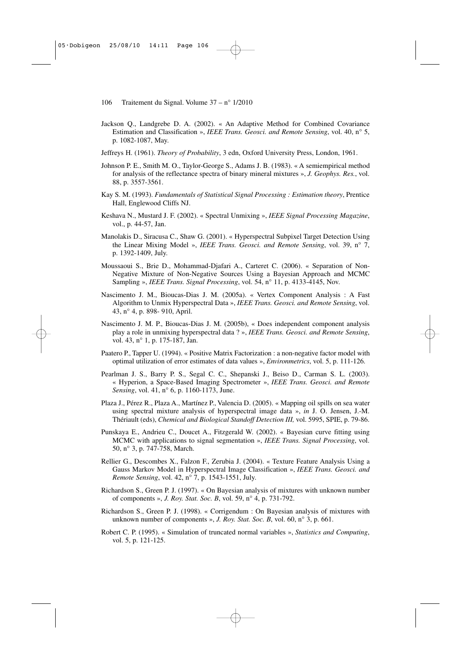- Jackson Q., Landgrebe D. A. (2002). « An Adaptive Method for Combined Covariance Estimation and Classification », *IEEE Trans. Geosci. and Remote Sensing*, vol. 40, n° 5, p. 1082-1087, May.
- Jeffreys H. (1961). *Theory of Probability*, 3 edn, Oxford University Press, London, 1961.
- Johnson P. E., Smith M. O., Taylor-George S., Adams J. B. (1983). « A semiempirical method for analysis of the reflectance spectra of binary mineral mixtures », *J. Geophys. Res.*, vol. 88, p. 3557-3561.
- Kay S. M. (1993). *Fundamentals of Statistical Signal Processing : Estimation theory*, Prentice Hall, Englewood Cliffs NJ.
- Keshava N., Mustard J. F. (2002). « Spectral Unmixing », *IEEE Signal Processing Magazine*, vol., p. 44-57, Jan.
- Manolakis D., Siracusa C., Shaw G. (2001). « Hyperspectral Subpixel Target Detection Using the Linear Mixing Model », *IEEE Trans. Geosci. and Remote Sensing*, vol. 39, n° 7, p. 1392-1409, July.
- Moussaoui S., Brie D., Mohammad-Djafari A., Carteret C. (2006). « Separation of Non-Negative Mixture of Non-Negative Sources Using a Bayesian Approach and MCMC Sampling », *IEEE Trans. Signal Processing*, vol. 54, n° 11, p. 4133-4145, Nov.
- Nascimento J. M., Bioucas-Dias J. M. (2005a). « Vertex Component Analysis : A Fast Algorithm to Unmix Hyperspectral Data », *IEEE Trans. Geosci. and Remote Sensing*, vol. 43, n° 4, p. 898- 910, April.
- Nascimento J. M. P., Bioucas-Dias J. M. (2005b), « Does independent component analysis play a role in unmixing hyperspectral data ? », *IEEE Trans. Geosci. and Remote Sensing*, vol. 43, n° 1, p. 175-187, Jan.
- Paatero P., Tapper U. (1994). « Positive Matrix Factorization : a non-negative factor model with optimal utilization of error estimates of data values », *Environmetrics*, vol. 5, p. 111-126.
- Pearlman J. S., Barry P. S., Segal C. C., Shepanski J., Beiso D., Carman S. L. (2003). « Hyperion, a Space-Based Imaging Spectrometer », *IEEE Trans. Geosci. and Remote Sensing*, vol. 41, n° 6, p. 1160-1173, June.
- Plaza J., Pérez R., Plaza A., Martínez P., Valencia D. (2005). « Mapping oil spills on sea water using spectral mixture analysis of hyperspectral image data », *in* J. O. Jensen, J.-M. Thériault (eds), *Chemical and Biological Standoff Detection III,* vol. 5995, SPIE, p. 79-86.
- Punskaya E., Andrieu C., Doucet A., Fitzgerald W. (2002). « Bayesian curve fitting using MCMC with applications to signal segmentation », *IEEE Trans. Signal Processing*, vol. 50, n° 3, p. 747-758, March.
- Rellier G., Descombes X., Falzon F., Zerubia J. (2004). « Texture Feature Analysis Using a Gauss Markov Model in Hyperspectral Image Classification », *IEEE Trans. Geosci. and Remote Sensing*, vol. 42, n° 7, p. 1543-1551, July.
- Richardson S., Green P. J. (1997). « On Bayesian analysis of mixtures with unknown number of components », *J. Roy. Stat. Soc. B*, vol. 59, n° 4, p. 731-792.
- Richardson S., Green P. J. (1998). « Corrigendum : On Bayesian analysis of mixtures with unknown number of components », *J. Roy. Stat. Soc. B*, vol. 60, n° 3, p. 661.
- Robert C. P. (1995). « Simulation of truncated normal variables », *Statistics and Computing*, vol. 5, p. 121-125.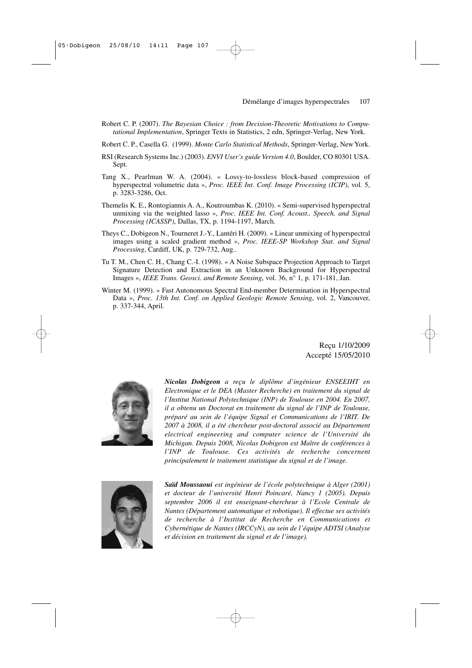- Robert C. P. (2007). *The Bayesian Choice : from Decision-Theoretic Motivations to Computational Implementation*, Springer Texts in Statistics, 2 edn, Springer-Verlag, New York.
- Robert C. P., Casella G. (1999). *Monte Carlo Statistical Methods*, Springer-Verlag, New York.
- RSI (Research Systems Inc.) (2003). *ENVI User's guide Version 4.0*, Boulder, CO 80301 USA. Sept.
- Tang X., Pearlman W. A. (2004). « Lossy-to-lossless block-based compression of hyperspectral volumetric data », *Proc. IEEE Int. Conf. Image Processing (ICIP)*, vol. 5, p. 3283-3286, Oct.
- Themelis K. E., Rontogiannis A. A., Koutroumbas K. (2010). « Semi-supervised hyperspectral unmixing via the weighted lasso », *Proc. IEEE Int. Conf. Acoust., Speech, and Signal Processing (ICASSP)*, Dallas, TX, p. 1194-1197, March.
- Theys C., Dobigeon N., Tourneret J.-Y., Lantéri H. (2009). « Linear unmixing of hyperspectral images using a scaled gradient method », *Proc. IEEE-SP Workshop Stat. and Signal Processing*, Cardiff, UK, p. 729-732, Aug..
- Tu T. M., Chen C. H., Chang C.-I. (1998). « A Noise Subspace Projection Approach to Target Signature Detection and Extraction in an Unknown Background for Hyperspectral Images », *IEEE Trans. Geosci. and Remote Sensing*, vol. 36, n° 1, p. 171-181, Jan.
- Winter M. (1999). « Fast Autonomous Spectral End-member Determination in Hyperspectral Data », *Proc. 13th Int. Conf. on Applied Geologic Remote Sensing*, vol. 2, Vancouver, p. 337-344, April.

Reçu 1/10/2009 Accepté 15/05/2010



*Nicolas Dobigeon a reçu le diplôme d'ingénieur ENSEEIHT en Electronique et le DEA (Master Recherche) en traitement du signal de l'Institut National Polytechnique (INP) de Toulouse en 2004. En 2007, il a obtenu un Doctorat en traitement du signal de l'INP de Toulouse, préparé au sein de l'équipe Signal et Communications de l'IRIT. De 2007 à 2008, il a été chercheur post-doctoral associé au Département electrical engineering and computer science de l'Université du Michigan. Depuis 2008, Nicolas Dobigeon est Maître de conférences à l'INP de Toulouse. Ces activités de recherche concernent principalement le traitement statistique du signal et de l'image.*



*Saïd Moussaoui est ingénieur de l'école polytechnique à Alger (2001) et docteur de l'université Henri Poincaré, Nancy 1 (2005). Depuis septembre 2006 il est enseignant-chercheur à l'Ecole Centrale de Nantes (Département automatique et robotique). Il effectue ses activités de recherche à l'Institut de Recherche en Communications et Cybernétique de Nantes (IRCCyN), au sein de l'équipe ADTSI (Analyse et décision en traitement du signal et de l'image).*